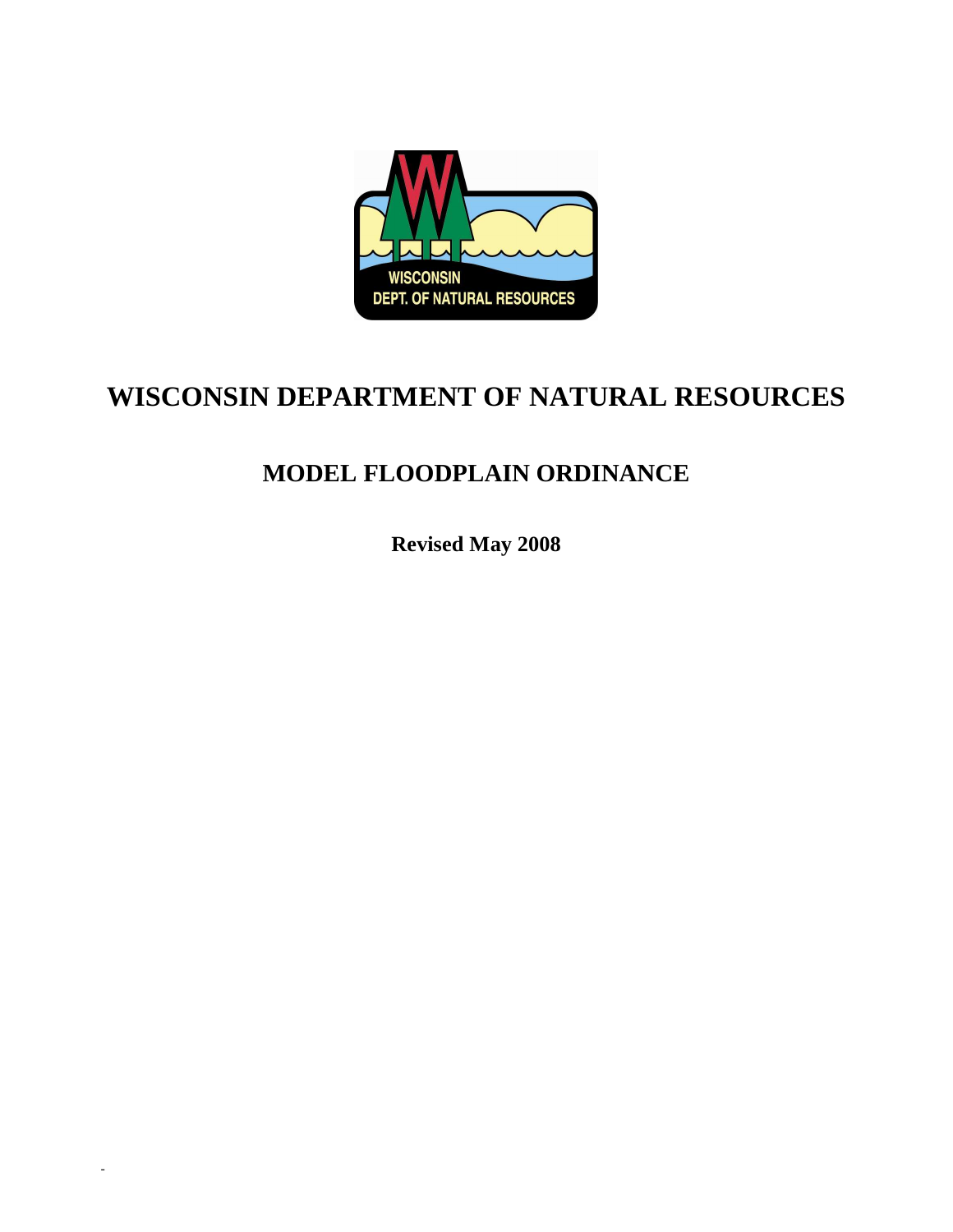

# **WISCONSIN DEPARTMENT OF NATURAL RESOURCES**

# **MODEL FLOODPLAIN ORDINANCE**

**Revised May 2008** 

-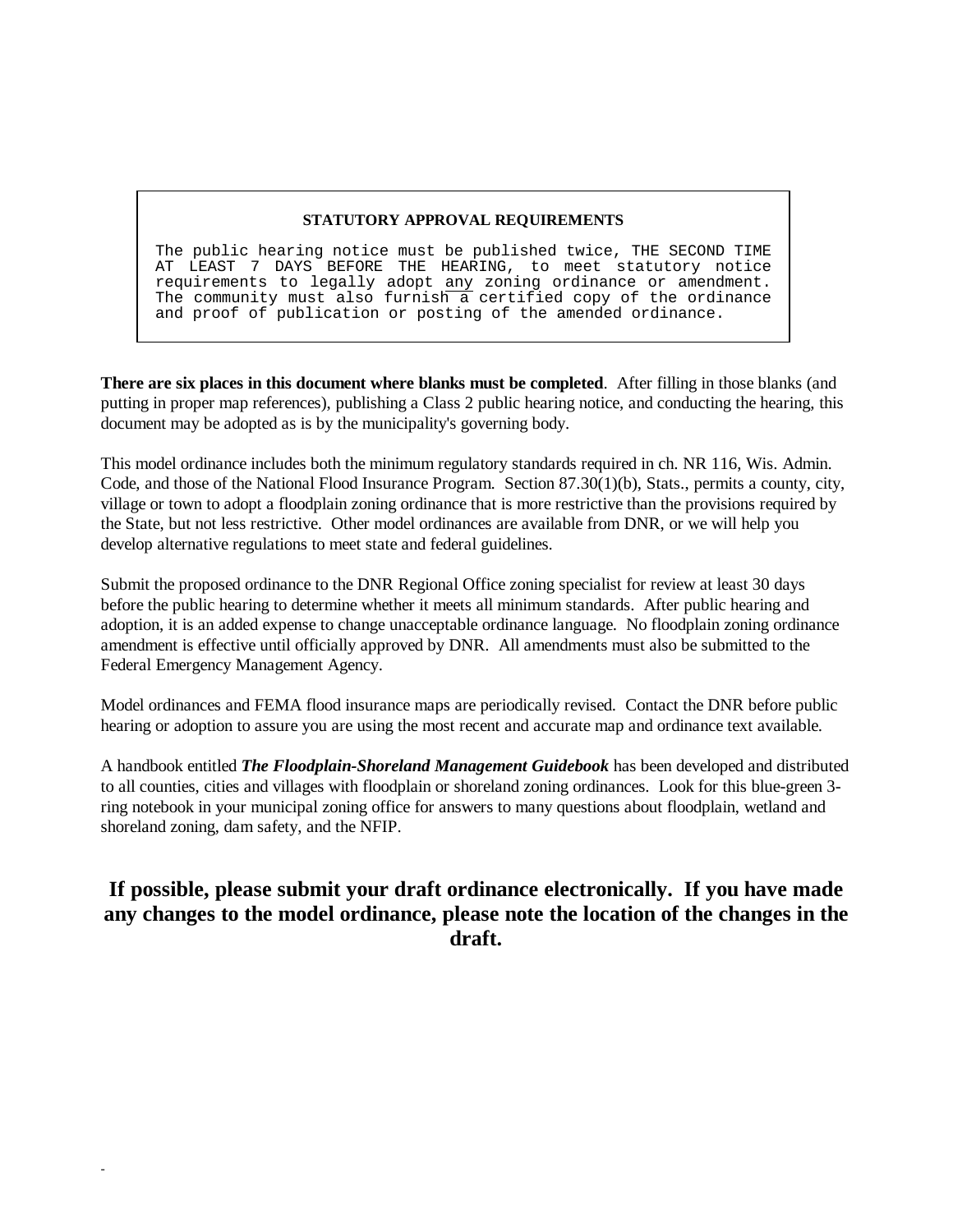#### **STATUTORY APPROVAL REQUIREMENTS**

The public hearing notice must be published twice, THE SECOND TIME AT LEAST 7 DAYS BEFORE THE HEARING, to meet statutory notice requirements to legally adopt any zoning ordinance or amendment. The community must also furnish a certified copy of the ordinance and proof of publication or posting of the amended ordinance.

**There are six places in this document where blanks must be completed**. After filling in those blanks (and putting in proper map references), publishing a Class 2 public hearing notice, and conducting the hearing, this document may be adopted as is by the municipality's governing body.

This model ordinance includes both the minimum regulatory standards required in ch. NR 116, Wis. Admin. Code, and those of the National Flood Insurance Program. Section 87.30(1)(b), Stats., permits a county, city, village or town to adopt a floodplain zoning ordinance that is more restrictive than the provisions required by the State, but not less restrictive. Other model ordinances are available from DNR, or we will help you develop alternative regulations to meet state and federal guidelines.

Submit the proposed ordinance to the DNR Regional Office zoning specialist for review at least 30 days before the public hearing to determine whether it meets all minimum standards. After public hearing and adoption, it is an added expense to change unacceptable ordinance language. No floodplain zoning ordinance amendment is effective until officially approved by DNR. All amendments must also be submitted to the Federal Emergency Management Agency.

Model ordinances and FEMA flood insurance maps are periodically revised. Contact the DNR before public hearing or adoption to assure you are using the most recent and accurate map and ordinance text available.

A handbook entitled *The Floodplain-Shoreland Management Guidebook* has been developed and distributed to all counties, cities and villages with floodplain or shoreland zoning ordinances. Look for this blue-green 3 ring notebook in your municipal zoning office for answers to many questions about floodplain, wetland and shoreland zoning, dam safety, and the NFIP.

# **If possible, please submit your draft ordinance electronically. If you have made any changes to the model ordinance, please note the location of the changes in the draft.**

-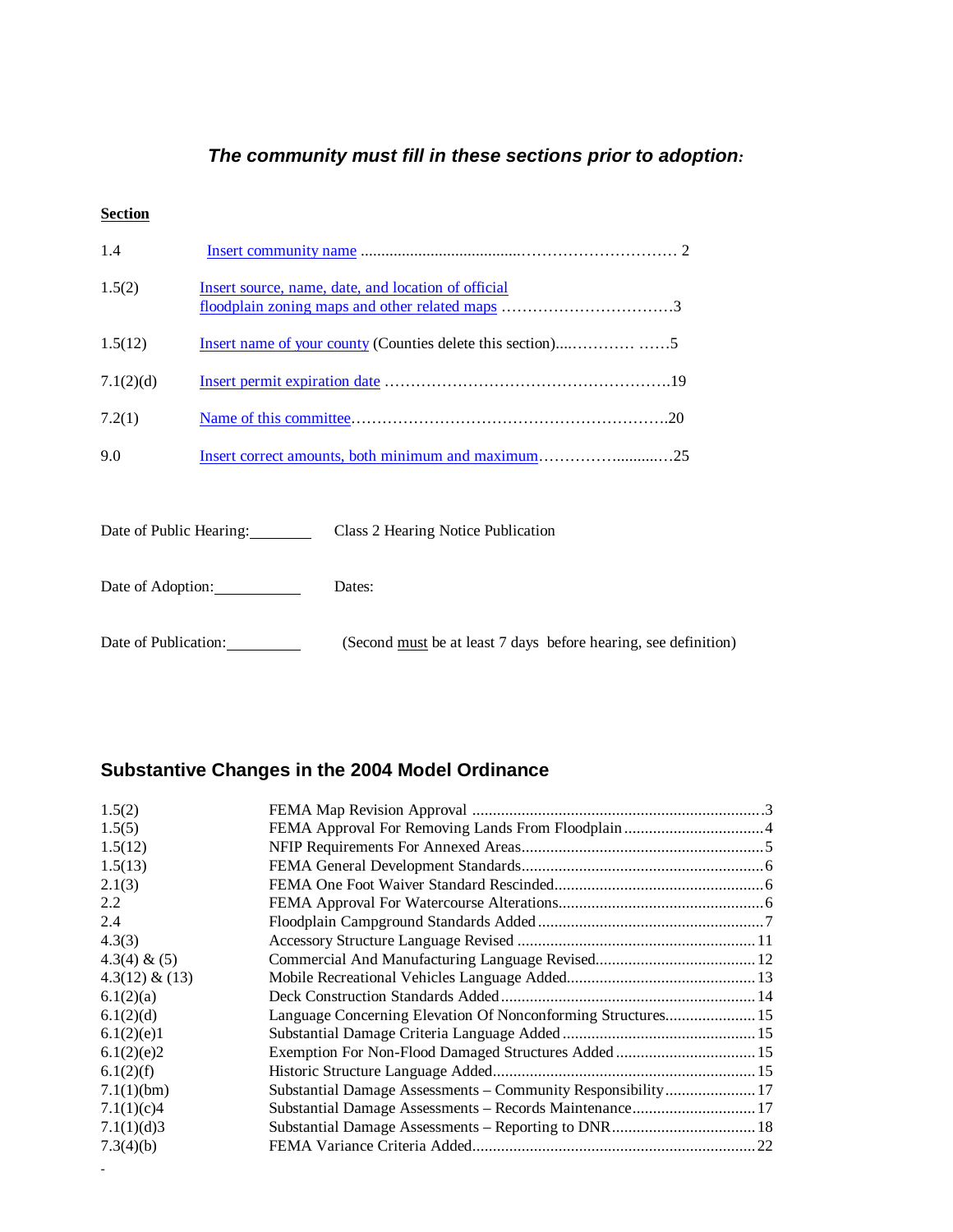## **The community must fill in these sections prior to adoption***:*

## **Section**

| 1.4                                                           |                                                     |  |  |  |
|---------------------------------------------------------------|-----------------------------------------------------|--|--|--|
| 1.5(2)                                                        | Insert source, name, date, and location of official |  |  |  |
| 1.5(12)                                                       |                                                     |  |  |  |
| 7.1(2)(d)                                                     |                                                     |  |  |  |
| 7.2(1)                                                        |                                                     |  |  |  |
| 9.0                                                           | Insert correct amounts, both minimum and maximum25  |  |  |  |
|                                                               |                                                     |  |  |  |
| Date of Public Hearing:<br>Class 2 Hearing Notice Publication |                                                     |  |  |  |
|                                                               |                                                     |  |  |  |

Date of Adoption: Dates:

Date of Publication: (Second <u>must</u> be at least 7 days before hearing, see definition)

## **Substantive Changes in the 2004 Model Ordinance**

| 1.5(2)            |                                                              |  |
|-------------------|--------------------------------------------------------------|--|
| 1.5(5)            |                                                              |  |
| 1.5(12)           |                                                              |  |
| 1.5(13)           |                                                              |  |
| 2.1(3)            |                                                              |  |
| 2.2               |                                                              |  |
| 2.4               |                                                              |  |
| 4.3(3)            |                                                              |  |
| $4.3(4) \& (5)$   |                                                              |  |
| $4.3(12) \& (13)$ |                                                              |  |
| 6.1(2)(a)         |                                                              |  |
| 6.1(2)(d)         | Language Concerning Elevation Of Nonconforming Structures 15 |  |
| 6.1(2)(e)1        |                                                              |  |
| 6.1(2)(e)2        |                                                              |  |
| 6.1(2)(f)         |                                                              |  |
| 7.1(1)(bm)        | Substantial Damage Assessments - Community Responsibility 17 |  |
| 7.1(1)(c)4        |                                                              |  |
| 7.1(1)(d)3        |                                                              |  |
| 7.3(4)(b)         |                                                              |  |
|                   |                                                              |  |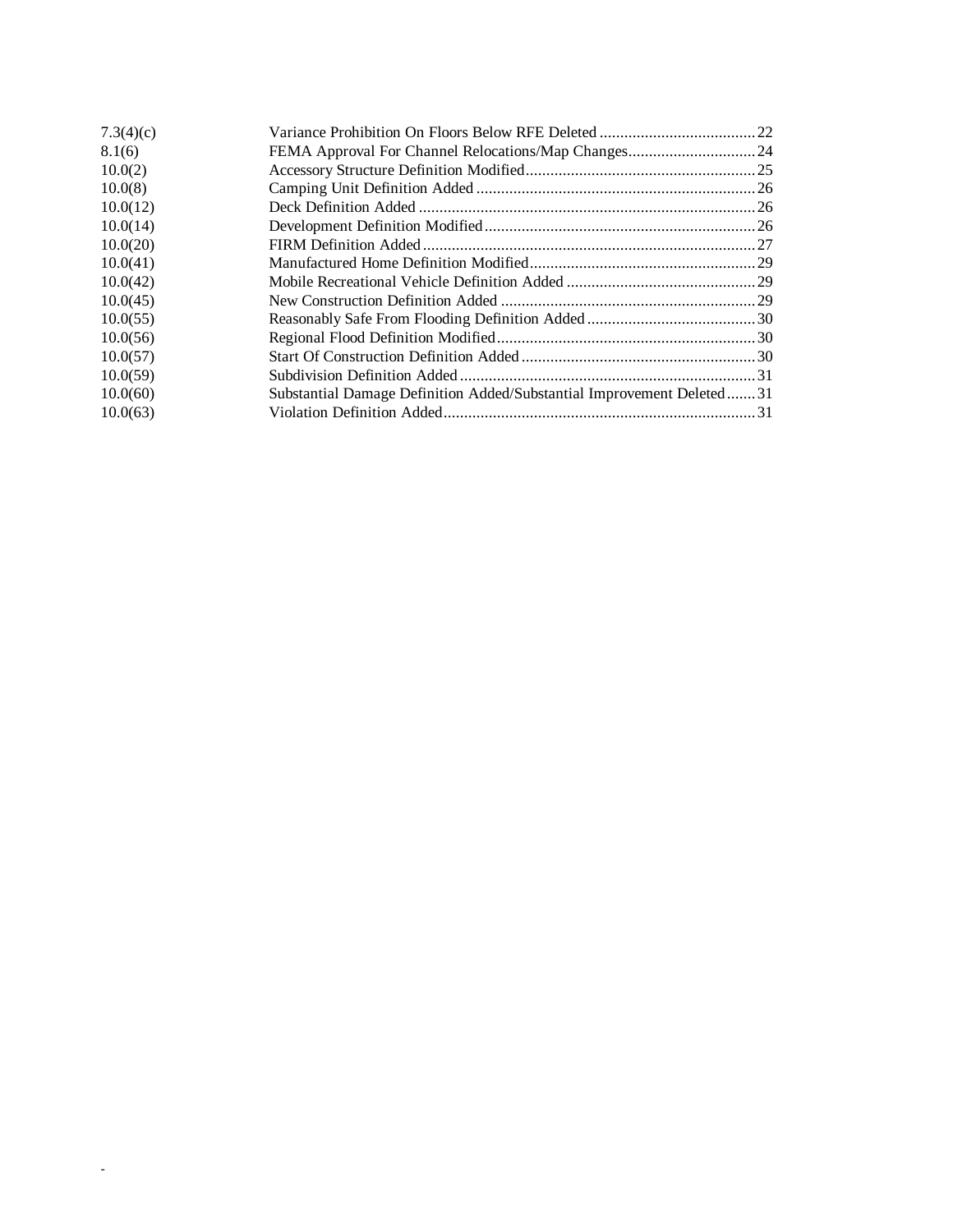| 7.3(4)(c) |                                                                       |  |
|-----------|-----------------------------------------------------------------------|--|
| 8.1(6)    |                                                                       |  |
| 10.0(2)   |                                                                       |  |
| 10.0(8)   |                                                                       |  |
| 10.0(12)  |                                                                       |  |
| 10.0(14)  |                                                                       |  |
| 10.0(20)  |                                                                       |  |
| 10.0(41)  |                                                                       |  |
| 10.0(42)  |                                                                       |  |
| 10.0(45)  |                                                                       |  |
| 10.0(55)  |                                                                       |  |
| 10.0(56)  |                                                                       |  |
| 10.0(57)  |                                                                       |  |
| 10.0(59)  |                                                                       |  |
| 10.0(60)  | Substantial Damage Definition Added/Substantial Improvement Deleted31 |  |
| 10.0(63)  |                                                                       |  |

-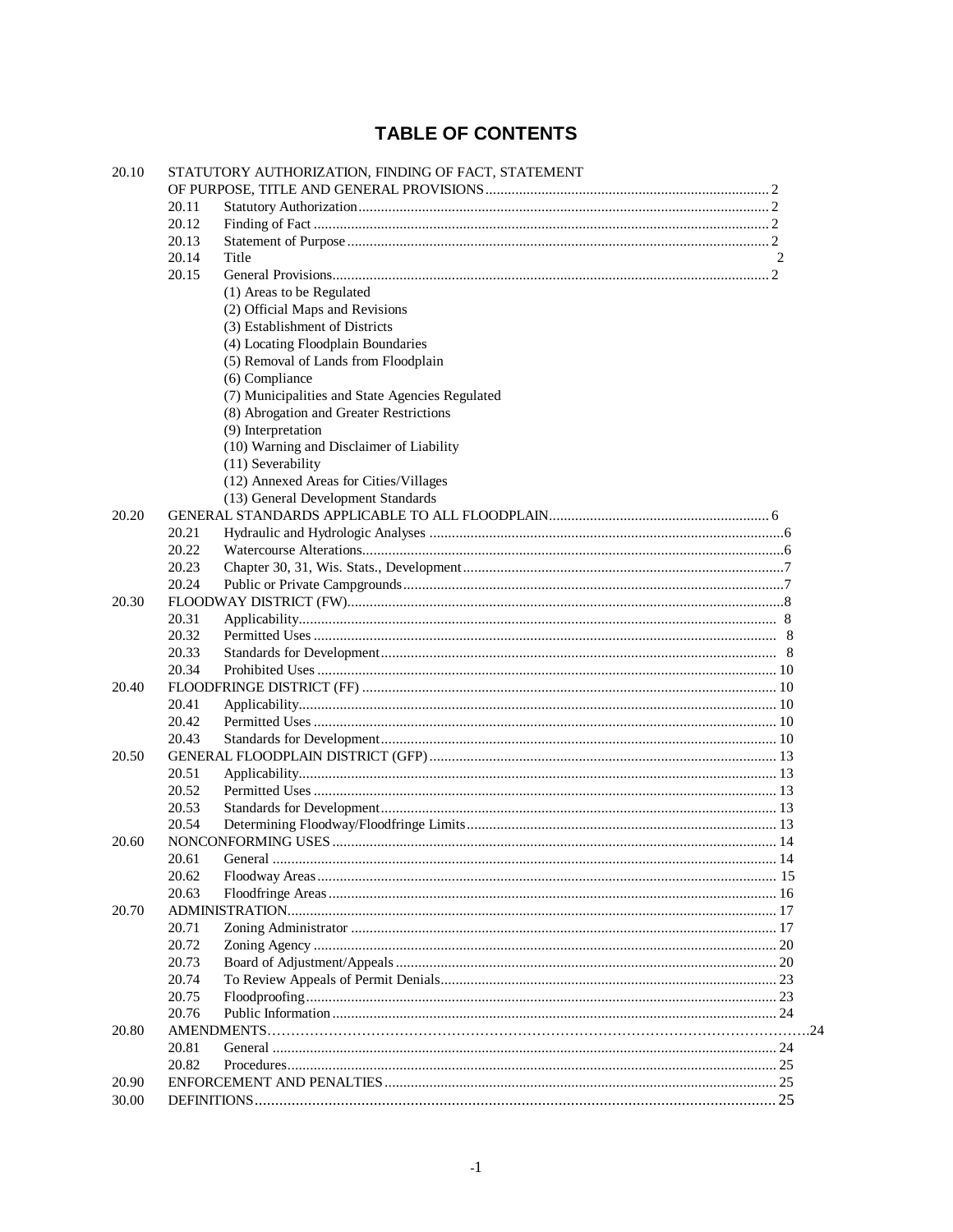# **TABLE OF CONTENTS**

| 20.10 |       | STATUTORY AUTHORIZATION, FINDING OF FACT, STATEMENT |   |
|-------|-------|-----------------------------------------------------|---|
|       |       |                                                     |   |
|       | 20.11 |                                                     |   |
|       | 20.12 |                                                     |   |
|       | 20.13 |                                                     |   |
|       | 20.14 | Title                                               | 2 |
|       | 20.15 |                                                     |   |
|       |       | (1) Areas to be Regulated                           |   |
|       |       | (2) Official Maps and Revisions                     |   |
|       |       | (3) Establishment of Districts                      |   |
|       |       | (4) Locating Floodplain Boundaries                  |   |
|       |       | (5) Removal of Lands from Floodplain                |   |
|       |       | (6) Compliance                                      |   |
|       |       | (7) Municipalities and State Agencies Regulated     |   |
|       |       | (8) Abrogation and Greater Restrictions             |   |
|       |       | (9) Interpretation                                  |   |
|       |       | (10) Warning and Disclaimer of Liability            |   |
|       |       | (11) Severability                                   |   |
|       |       | (12) Annexed Areas for Cities/Villages              |   |
|       |       | (13) General Development Standards                  |   |
| 20.20 |       |                                                     |   |
|       | 20.21 |                                                     |   |
|       | 20.22 |                                                     |   |
|       | 20.23 |                                                     |   |
|       | 20.24 |                                                     |   |
| 20.30 |       |                                                     |   |
|       | 20.31 |                                                     |   |
|       | 20.32 |                                                     |   |
|       | 20.33 |                                                     |   |
|       | 20.34 |                                                     |   |
| 20.40 |       |                                                     |   |
|       | 20.41 |                                                     |   |
|       | 20.42 |                                                     |   |
|       | 20.43 |                                                     |   |
| 20.50 |       |                                                     |   |
|       | 20.51 |                                                     |   |
|       | 20.52 |                                                     |   |
|       | 20.53 |                                                     |   |
|       | 20.54 |                                                     |   |
| 20.60 |       |                                                     |   |
|       | 20.61 | General                                             |   |
|       | 20.62 |                                                     |   |
|       | 20.63 |                                                     |   |
| 20.70 |       |                                                     |   |
|       | 20.71 |                                                     |   |
|       | 20.72 |                                                     |   |
|       | 20.73 |                                                     |   |
|       | 20.74 |                                                     |   |
|       | 20.75 |                                                     |   |
|       | 20.76 |                                                     |   |
| 20.80 |       |                                                     |   |
|       | 20.81 |                                                     |   |
|       | 20.82 |                                                     |   |
| 20.90 |       |                                                     |   |
| 30.00 |       |                                                     |   |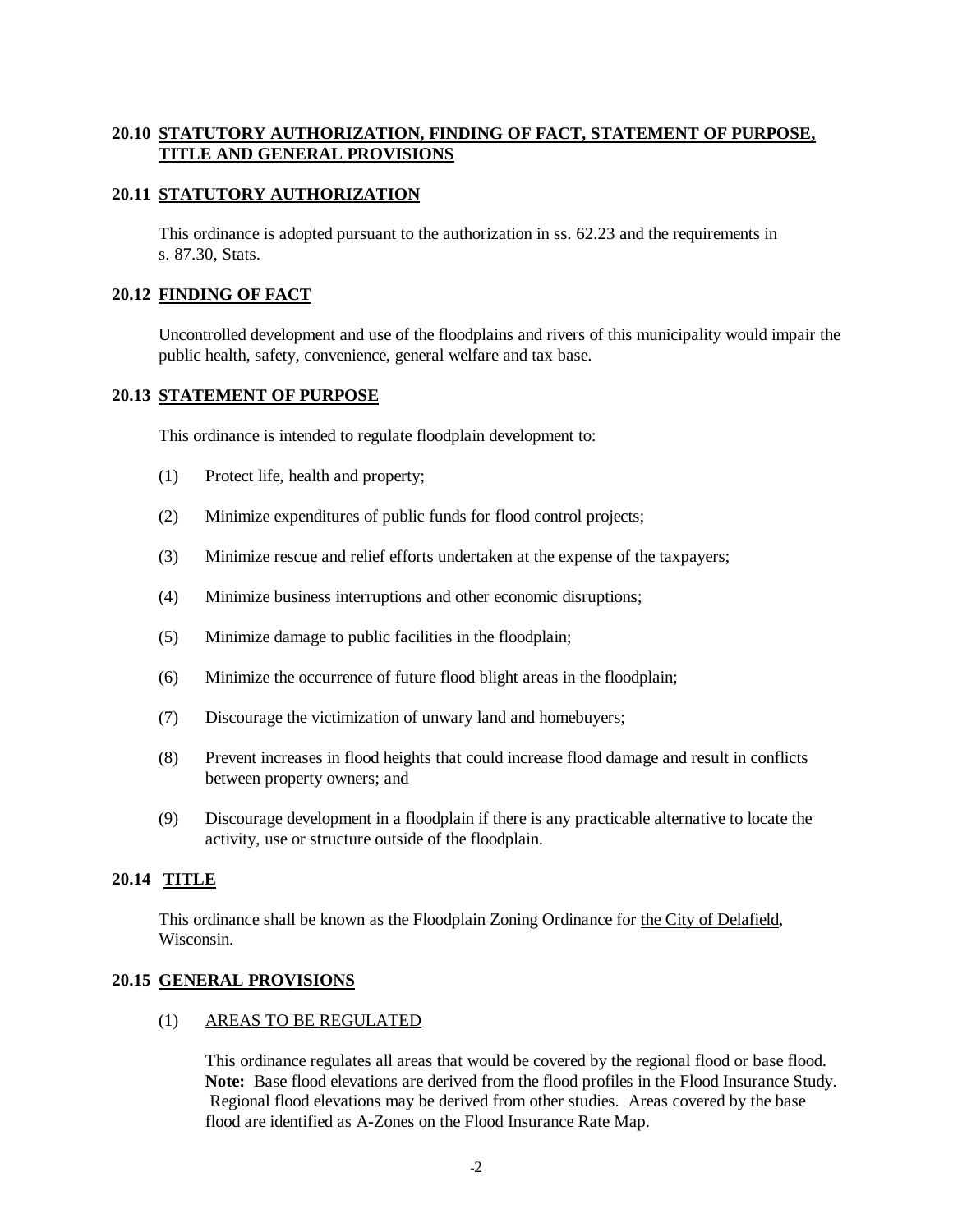## <span id="page-5-0"></span>**20.10 STATUTORY AUTHORIZATION, FINDING OF FACT, STATEMENT OF PURPOSE, TITLE AND GENERAL PROVISIONS**

## **20.11 STATUTORY AUTHORIZATION**

 This ordinance is adopted pursuant to the authorization in ss. 62.23 and the requirements in s. 87.30, Stats.

## **20.12 FINDING OF FACT**

 Uncontrolled development and use of the floodplains and rivers of this municipality would impair the public health, safety, convenience, general welfare and tax base.

## **20.13 STATEMENT OF PURPOSE**

This ordinance is intended to regulate floodplain development to:

- (1) Protect life, health and property;
- (2) Minimize expenditures of public funds for flood control projects;
- (3) Minimize rescue and relief efforts undertaken at the expense of the taxpayers;
- (4) Minimize business interruptions and other economic disruptions;
- (5) Minimize damage to public facilities in the floodplain;
- (6) Minimize the occurrence of future flood blight areas in the floodplain;
- (7) Discourage the victimization of unwary land and homebuyers;
- (8) Prevent increases in flood heights that could increase flood damage and result in conflicts between property owners; and
- (9) Discourage development in a floodplain if there is any practicable alternative to locate the activity, use or structure outside of the floodplain.

## **20.14 TITLE**

 This ordinance shall be known as the Floodplain Zoning Ordinance for the City of Delafield, Wisconsin.

## **20.15 GENERAL PROVISIONS**

#### (1) AREAS TO BE REGULATED

 This ordinance regulates all areas that would be covered by the regional flood or base flood. **Note:** Base flood elevations are derived from the flood profiles in the Flood Insurance Study. Regional flood elevations may be derived from other studies. Areas covered by the base flood are identified as A-Zones on the Flood Insurance Rate Map.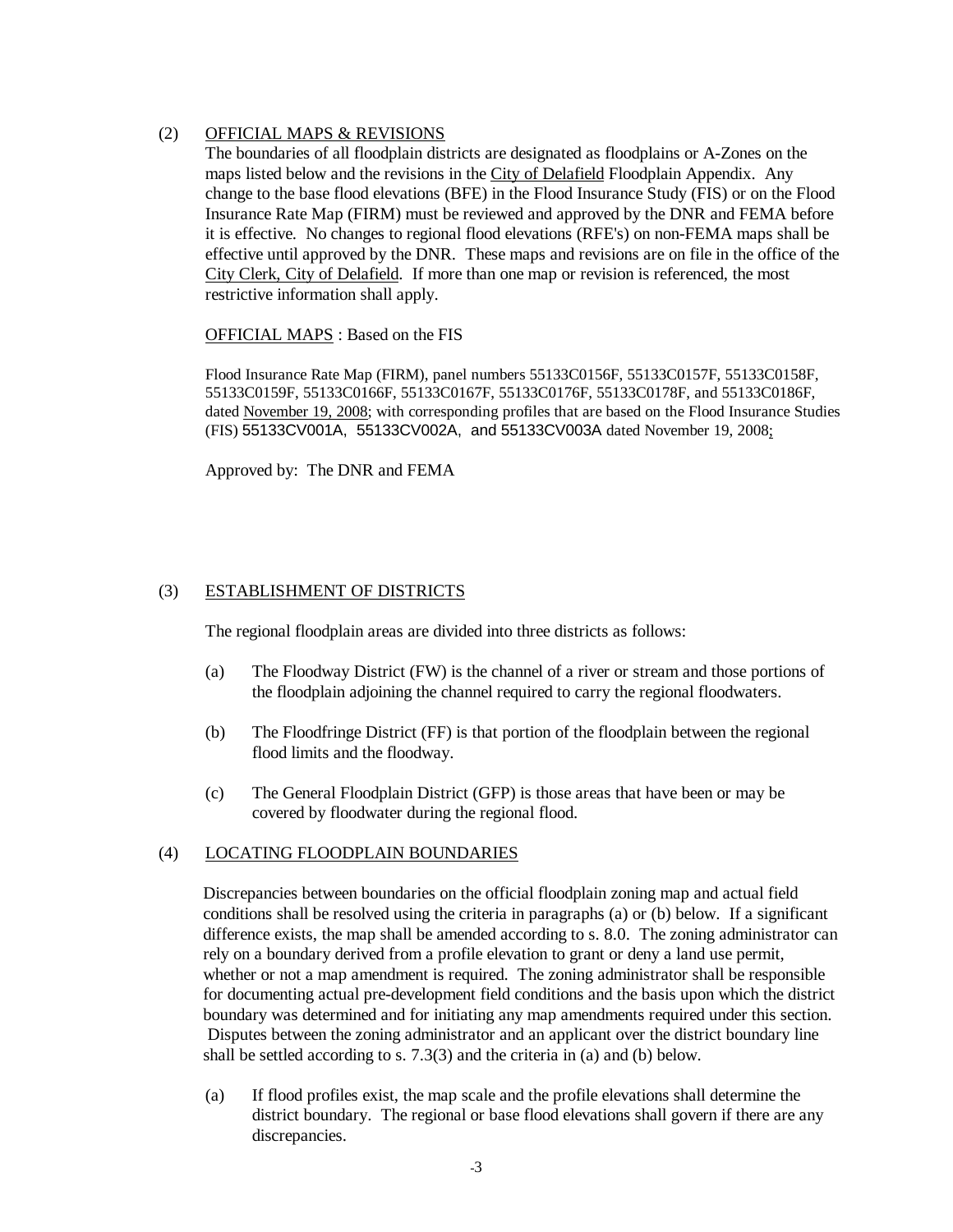## <span id="page-6-0"></span>(2) OFFICIAL MAPS & REVISIONS

 The boundaries of all floodplain districts are designated as floodplains or A-Zones on the maps listed below and the revisions in the City of Delafield Floodplain Appendix. Any change to the base flood elevations (BFE) in the Flood Insurance Study (FIS) or on the Flood Insurance Rate Map (FIRM) must be reviewed and approved by the DNR and FEMA before it is effective. No changes to regional flood elevations (RFE's) on non-FEMA maps shall be effective until approved by the DNR. These maps and revisions are on file in the office of the City Clerk, City of Delafield. If more than one map or revision is referenced, the most restrictive information shall apply.

OFFICIAL MAPS : Based on the FIS

Flood Insurance Rate Map (FIRM), panel numbers 55133C0156F, 55133C0157F, 55133C0158F, 55133C0159F, 55133C0166F, 55133C0167F, 55133C0176F, 55133C0178F, and 55133C0186F, dated November 19, 2008; with corresponding profiles that are based on the Flood Insurance Studies (FIS) 55133CV001A, 55133CV002A, and 55133CV003A dated November 19, 2008;

Approved by: The DNR and FEMA

## (3) ESTABLISHMENT OF DISTRICTS

The regional floodplain areas are divided into three districts as follows:

- (a) The Floodway District (FW) is the channel of a river or stream and those portions of the floodplain adjoining the channel required to carry the regional floodwaters.
- (b) The Floodfringe District (FF) is that portion of the floodplain between the regional flood limits and the floodway.
- (c) The General Floodplain District (GFP) is those areas that have been or may be covered by floodwater during the regional flood.

## (4) LOCATING FLOODPLAIN BOUNDARIES

 Discrepancies between boundaries on the official floodplain zoning map and actual field conditions shall be resolved using the criteria in paragraphs (a) or (b) below. If a significant difference exists, the map shall be amended according to s. 8.0. The zoning administrator can rely on a boundary derived from a profile elevation to grant or deny a land use permit, whether or not a map amendment is required. The zoning administrator shall be responsible for documenting actual pre-development field conditions and the basis upon which the district boundary was determined and for initiating any map amendments required under this section. Disputes between the zoning administrator and an applicant over the district boundary line shall be settled according to s. 7.3(3) and the criteria in (a) and (b) below.

 (a) If flood profiles exist, the map scale and the profile elevations shall determine the district boundary. The regional or base flood elevations shall govern if there are any discrepancies.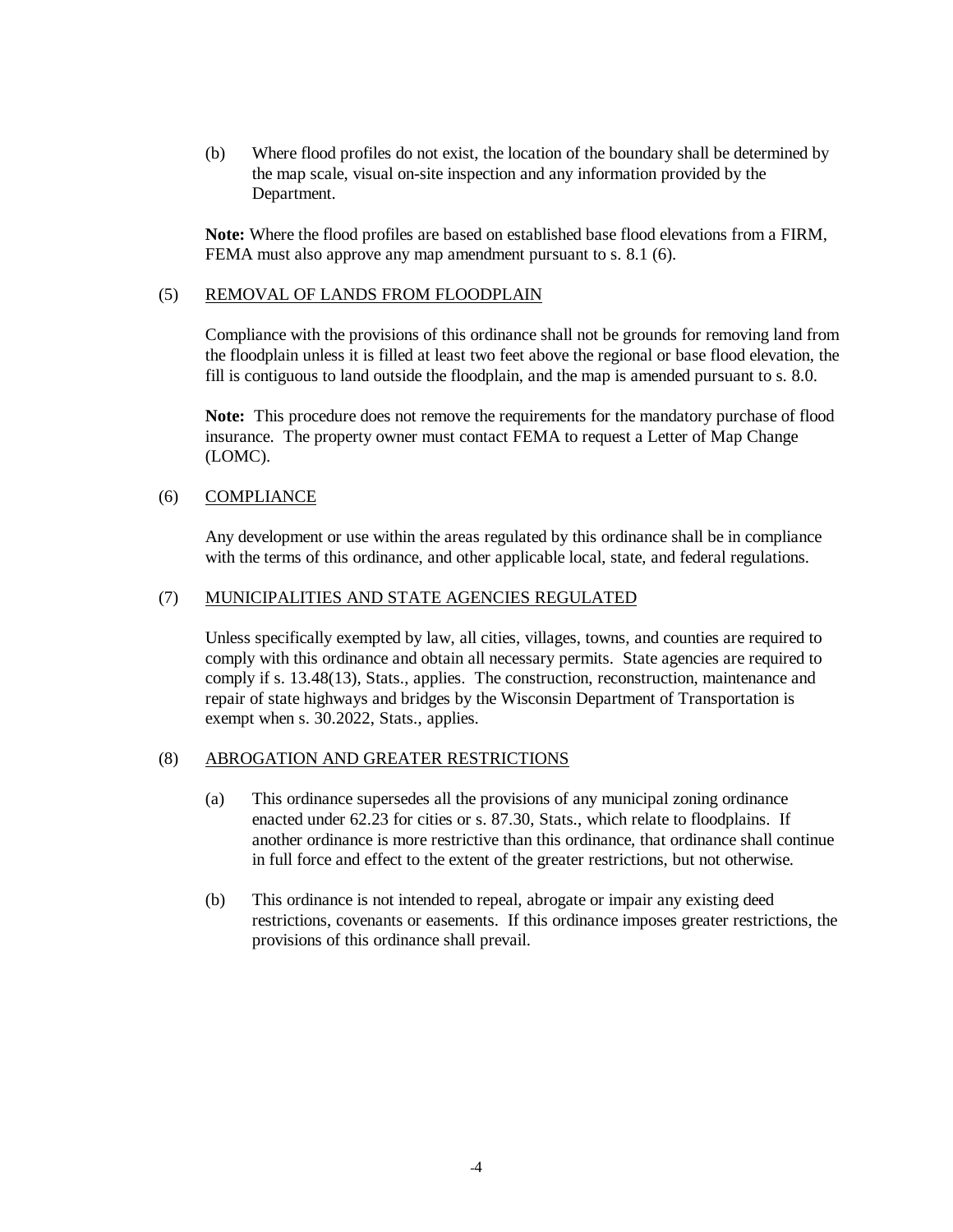(b) Where flood profiles do not exist, the location of the boundary shall be determined by the map scale, visual on-site inspection and any information provided by the Department.

**Note:** Where the flood profiles are based on established base flood elevations from a FIRM, FEMA must also approve any map amendment pursuant to s. 8.1 (6).

## (5) REMOVAL OF LANDS FROM FLOODPLAIN

 Compliance with the provisions of this ordinance shall not be grounds for removing land from the floodplain unless it is filled at least two feet above the regional or base flood elevation, the fill is contiguous to land outside the floodplain, and the map is amended pursuant to s. 8.0.

 **Note:** This procedure does not remove the requirements for the mandatory purchase of flood insurance. The property owner must contact FEMA to request a Letter of Map Change (LOMC).

#### (6) COMPLIANCE

 Any development or use within the areas regulated by this ordinance shall be in compliance with the terms of this ordinance, and other applicable local, state, and federal regulations.

#### (7) MUNICIPALITIES AND STATE AGENCIES REGULATED

 Unless specifically exempted by law, all cities, villages, towns, and counties are required to comply with this ordinance and obtain all necessary permits. State agencies are required to comply if s. 13.48(13), Stats., applies. The construction, reconstruction, maintenance and repair of state highways and bridges by the Wisconsin Department of Transportation is exempt when s. 30.2022, Stats., applies.

#### (8) ABROGATION AND GREATER RESTRICTIONS

- (a) This ordinance supersedes all the provisions of any municipal zoning ordinance enacted under 62.23 for cities or s. 87.30, Stats., which relate to floodplains. If another ordinance is more restrictive than this ordinance, that ordinance shall continue in full force and effect to the extent of the greater restrictions, but not otherwise.
- (b) This ordinance is not intended to repeal, abrogate or impair any existing deed restrictions, covenants or easements. If this ordinance imposes greater restrictions, the provisions of this ordinance shall prevail.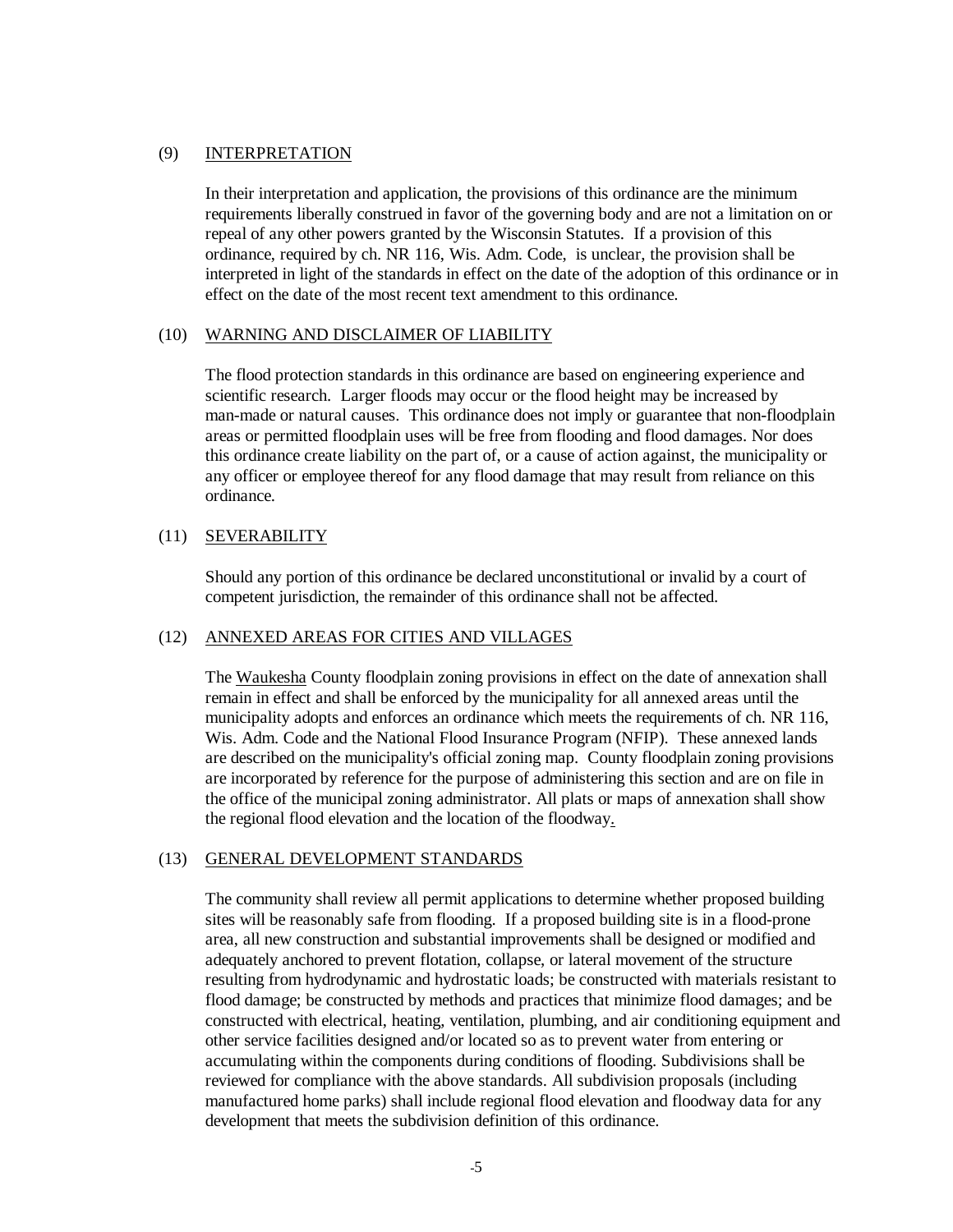## <span id="page-8-0"></span>(9) INTERPRETATION

 In their interpretation and application, the provisions of this ordinance are the minimum requirements liberally construed in favor of the governing body and are not a limitation on or repeal of any other powers granted by the Wisconsin Statutes. If a provision of this ordinance, required by ch. NR 116, Wis. Adm. Code, is unclear, the provision shall be interpreted in light of the standards in effect on the date of the adoption of this ordinance or in effect on the date of the most recent text amendment to this ordinance.

#### (10) WARNING AND DISCLAIMER OF LIABILITY

 The flood protection standards in this ordinance are based on engineering experience and scientific research. Larger floods may occur or the flood height may be increased by man-made or natural causes. This ordinance does not imply or guarantee that non-floodplain areas or permitted floodplain uses will be free from flooding and flood damages. Nor does this ordinance create liability on the part of, or a cause of action against, the municipality or any officer or employee thereof for any flood damage that may result from reliance on this ordinance.

#### (11) SEVERABILITY

 Should any portion of this ordinance be declared unconstitutional or invalid by a court of competent jurisdiction, the remainder of this ordinance shall not be affected.

#### (12) ANNEXED AREAS FOR CITIES AND VILLAGES

 The Waukesha County floodplain zoning provisions in effect on the date of annexation shall remain in effect and shall be enforced by the municipality for all annexed areas until the municipality adopts and enforces an ordinance which meets the requirements of ch. NR 116, Wis. Adm. Code and the National Flood Insurance Program (NFIP). These annexed lands are described on the municipality's official zoning map. County floodplain zoning provisions are incorporated by reference for the purpose of administering this section and are on file in the office of the municipal zoning administrator. All plats or maps of annexation shall show the regional flood elevation and the location of the floodway.

## (13) GENERAL DEVELOPMENT STANDARDS

 The community shall review all permit applications to determine whether proposed building sites will be reasonably safe from flooding. If a proposed building site is in a flood-prone area, all new construction and substantial improvements shall be designed or modified and adequately anchored to prevent flotation, collapse, or lateral movement of the structure resulting from hydrodynamic and hydrostatic loads; be constructed with materials resistant to flood damage; be constructed by methods and practices that minimize flood damages; and be constructed with electrical, heating, ventilation, plumbing, and air conditioning equipment and other service facilities designed and/or located so as to prevent water from entering or accumulating within the components during conditions of flooding. Subdivisions shall be reviewed for compliance with the above standards. All subdivision proposals (including manufactured home parks) shall include regional flood elevation and floodway data for any development that meets the subdivision definition of this ordinance.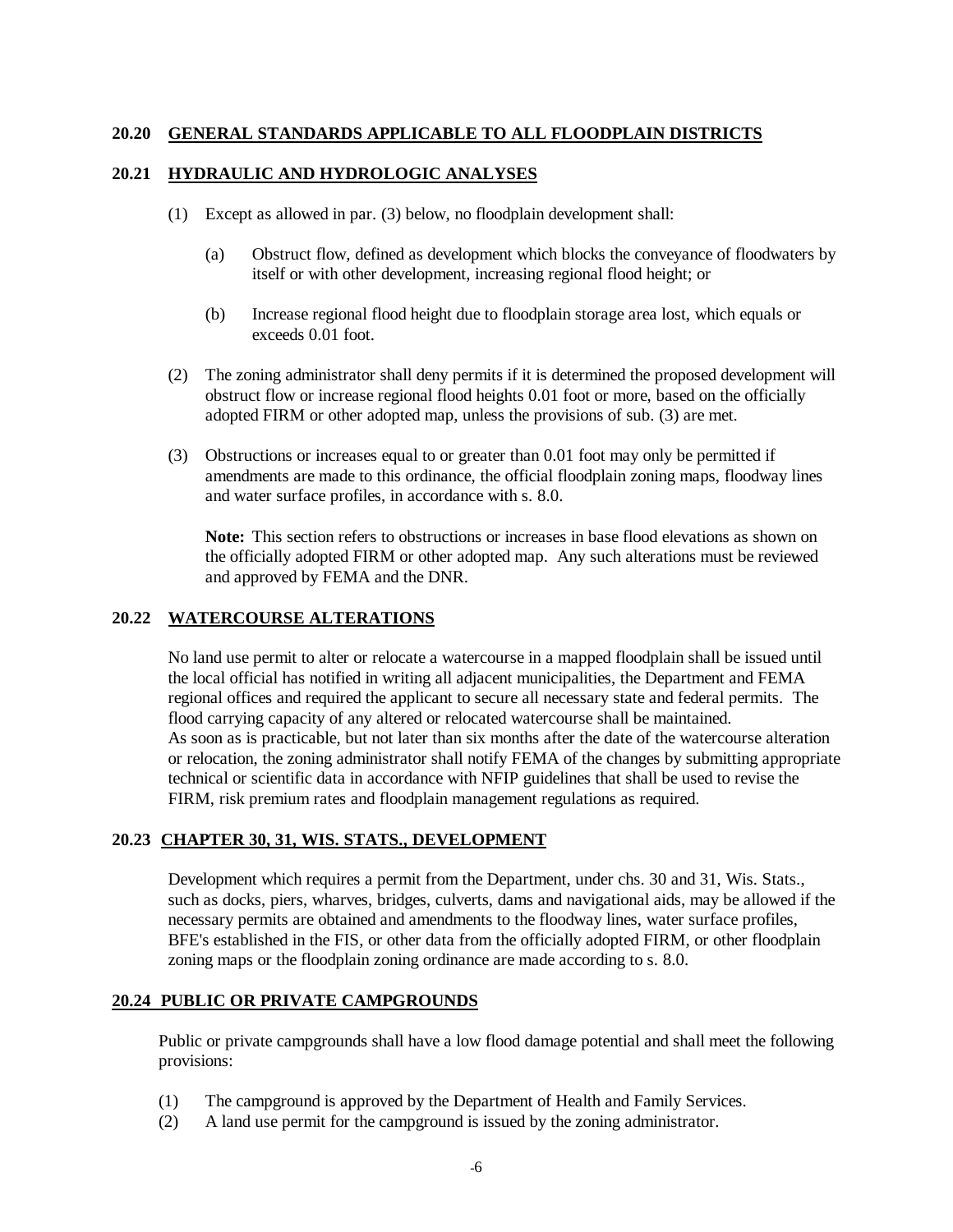## **20.20 GENERAL STANDARDS APPLICABLE TO ALL FLOODPLAIN DISTRICTS**

#### **20.21 HYDRAULIC AND HYDROLOGIC ANALYSES**

- (1) Except as allowed in par. (3) below, no floodplain development shall:
	- (a) Obstruct flow, defined as development which blocks the conveyance of floodwaters by itself or with other development, increasing regional flood height; or
	- (b) Increase regional flood height due to floodplain storage area lost, which equals or exceeds 0.01 foot.
- (2) The zoning administrator shall deny permits if it is determined the proposed development will obstruct flow or increase regional flood heights 0.01 foot or more, based on the officially adopted FIRM or other adopted map, unless the provisions of sub. (3) are met.
- (3) Obstructions or increases equal to or greater than 0.01 foot may only be permitted if amendments are made to this ordinance, the official floodplain zoning maps, floodway lines and water surface profiles, in accordance with s. 8.0.

**Note:** This section refers to obstructions or increases in base flood elevations as shown on the officially adopted FIRM or other adopted map. Any such alterations must be reviewed and approved by FEMA and the DNR.

## **20.22 WATERCOURSE ALTERATIONS**

 No land use permit to alter or relocate a watercourse in a mapped floodplain shall be issued until the local official has notified in writing all adjacent municipalities, the Department and FEMA regional offices and required the applicant to secure all necessary state and federal permits. The flood carrying capacity of any altered or relocated watercourse shall be maintained. As soon as is practicable, but not later than six months after the date of the watercourse alteration or relocation, the zoning administrator shall notify FEMA of the changes by submitting appropriate technical or scientific data in accordance with NFIP guidelines that shall be used to revise the FIRM, risk premium rates and floodplain management regulations as required.

## **20.23 CHAPTER 30, 31, WIS. STATS., DEVELOPMENT**

 Development which requires a permit from the Department, under chs. 30 and 31, Wis. Stats., such as docks, piers, wharves, bridges, culverts, dams and navigational aids, may be allowed if the necessary permits are obtained and amendments to the floodway lines, water surface profiles, BFE's established in the FIS, or other data from the officially adopted FIRM, or other floodplain zoning maps or the floodplain zoning ordinance are made according to s. 8.0.

## **20.24 PUBLIC OR PRIVATE CAMPGROUNDS**

Public or private campgrounds shall have a low flood damage potential and shall meet the following provisions:

- (1) The campground is approved by the Department of Health and Family Services.
- (2) A land use permit for the campground is issued by the zoning administrator.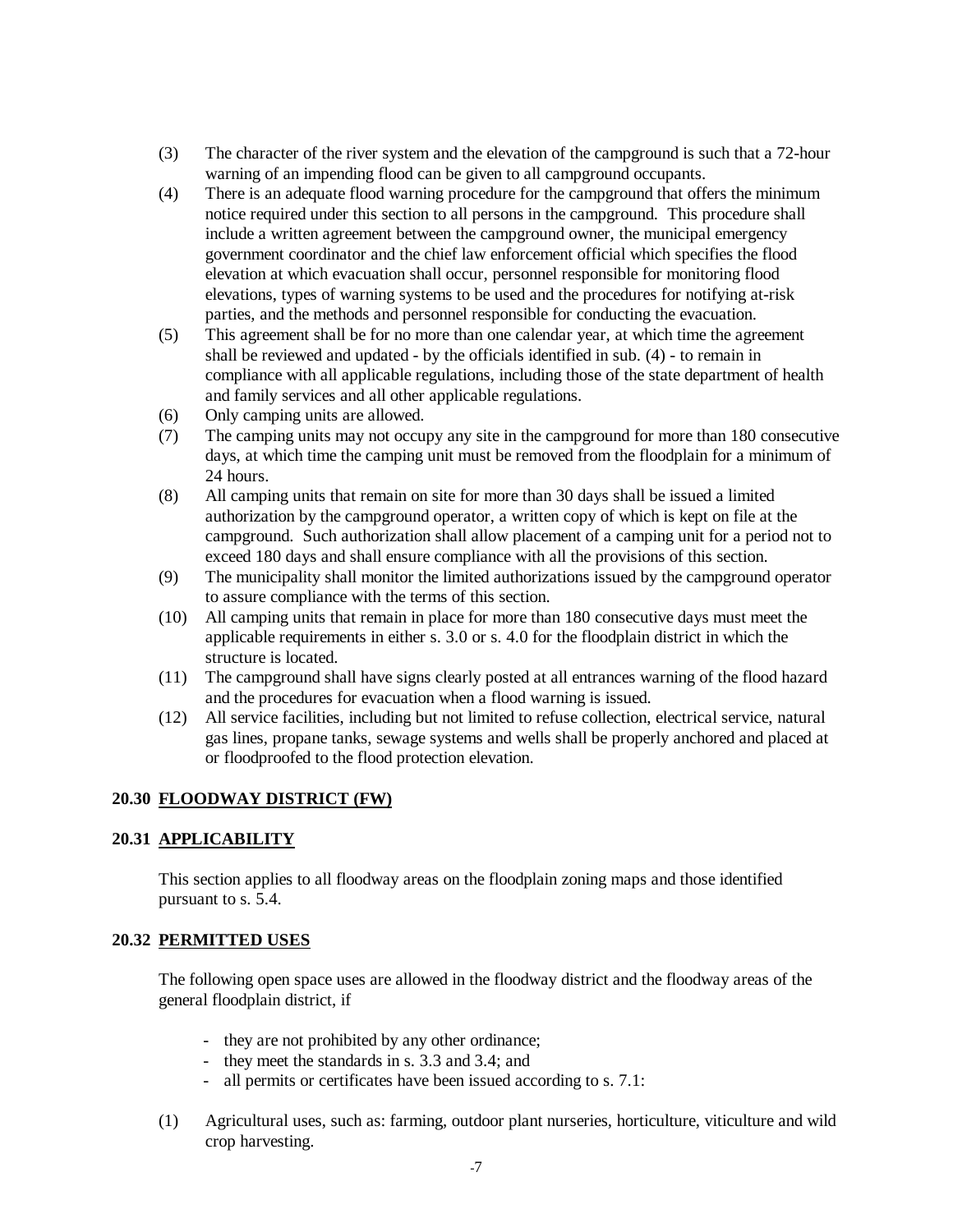- (3) The character of the river system and the elevation of the campground is such that a 72-hour warning of an impending flood can be given to all campground occupants.
- (4) There is an adequate flood warning procedure for the campground that offers the minimum notice required under this section to all persons in the campground. This procedure shall include a written agreement between the campground owner, the municipal emergency government coordinator and the chief law enforcement official which specifies the flood elevation at which evacuation shall occur, personnel responsible for monitoring flood elevations, types of warning systems to be used and the procedures for notifying at-risk parties, and the methods and personnel responsible for conducting the evacuation.
- (5) This agreement shall be for no more than one calendar year, at which time the agreement shall be reviewed and updated - by the officials identified in sub. (4) - to remain in compliance with all applicable regulations, including those of the state department of health and family services and all other applicable regulations.
- (6) Only camping units are allowed.
- (7) The camping units may not occupy any site in the campground for more than 180 consecutive days, at which time the camping unit must be removed from the floodplain for a minimum of 24 hours.
- (8) All camping units that remain on site for more than 30 days shall be issued a limited authorization by the campground operator, a written copy of which is kept on file at the campground. Such authorization shall allow placement of a camping unit for a period not to exceed 180 days and shall ensure compliance with all the provisions of this section.
- (9) The municipality shall monitor the limited authorizations issued by the campground operator to assure compliance with the terms of this section.
- (10) All camping units that remain in place for more than 180 consecutive days must meet the applicable requirements in either s. 3.0 or s. 4.0 for the floodplain district in which the structure is located.
- (11) The campground shall have signs clearly posted at all entrances warning of the flood hazard and the procedures for evacuation when a flood warning is issued.
- (12) All service facilities, including but not limited to refuse collection, electrical service, natural gas lines, propane tanks, sewage systems and wells shall be properly anchored and placed at or floodproofed to the flood protection elevation.

## **20.30 FLOODWAY DISTRICT (FW)**

#### **20.31 APPLICABILITY**

 This section applies to all floodway areas on the floodplain zoning maps and those identified pursuant to s. 5.4.

#### **20.32 PERMITTED USES**

 The following open space uses are allowed in the floodway district and the floodway areas of the general floodplain district, if

- they are not prohibited by any other ordinance;
- they meet the standards in s. 3.3 and 3.4; and
- all permits or certificates have been issued according to s. 7.1:
- (1) Agricultural uses, such as: farming, outdoor plant nurseries, horticulture, viticulture and wild crop harvesting.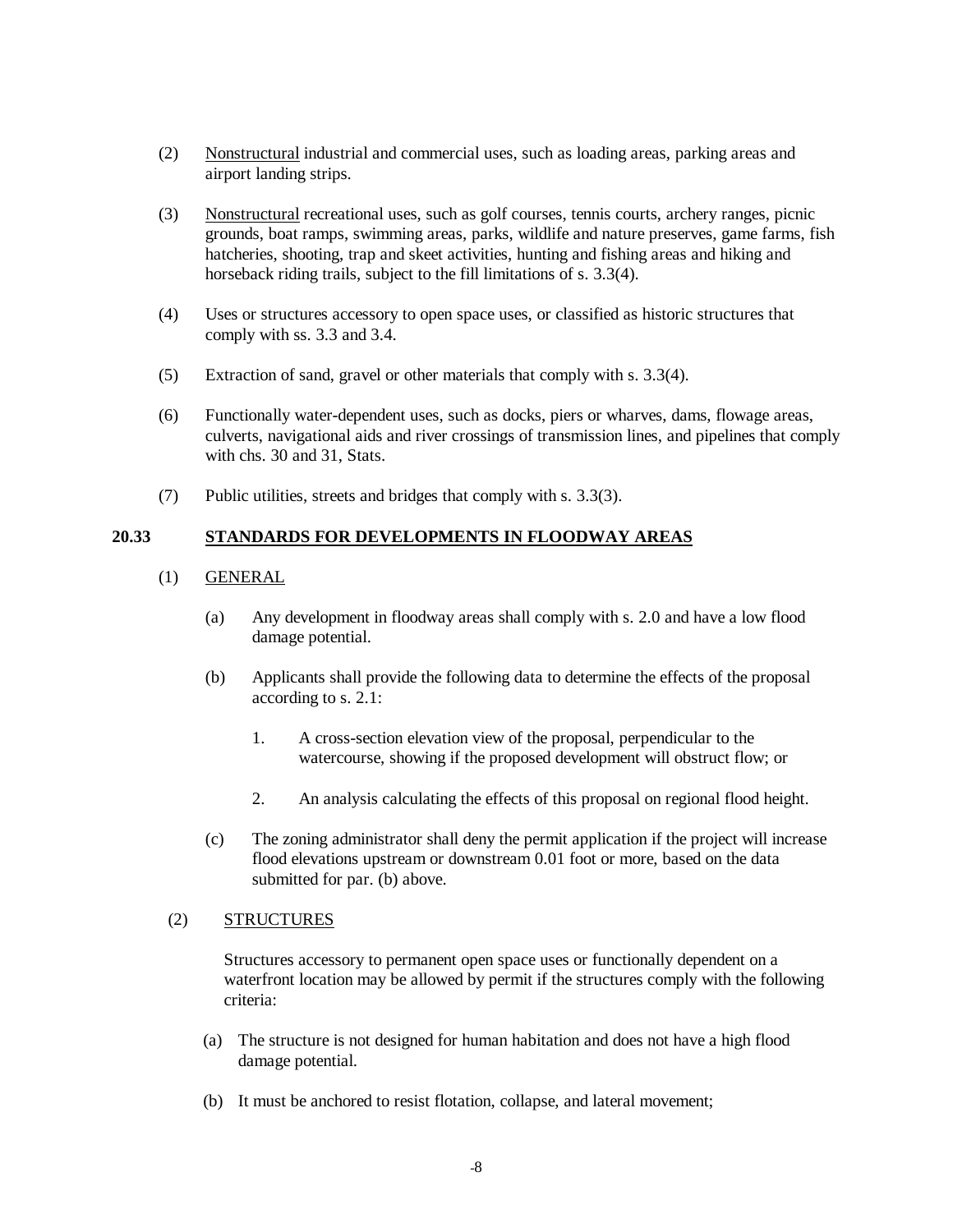- (2) Nonstructural industrial and commercial uses, such as loading areas, parking areas and airport landing strips.
- (3) Nonstructural recreational uses, such as golf courses, tennis courts, archery ranges, picnic grounds, boat ramps, swimming areas, parks, wildlife and nature preserves, game farms, fish hatcheries, shooting, trap and skeet activities, hunting and fishing areas and hiking and horseback riding trails, subject to the fill limitations of s. 3.3(4).
- (4) Uses or structures accessory to open space uses, or classified as historic structures that comply with ss. 3.3 and 3.4.
- (5) Extraction of sand, gravel or other materials that comply with s. 3.3(4).
- (6) Functionally water-dependent uses, such as docks, piers or wharves, dams, flowage areas, culverts, navigational aids and river crossings of transmission lines, and pipelines that comply with chs. 30 and 31, Stats.
- (7) Public utilities, streets and bridges that comply with s. 3.3(3).

## **20.33 STANDARDS FOR DEVELOPMENTS IN FLOODWAY AREAS**

## (1) GENERAL

- (a) Any development in floodway areas shall comply with s. 2.0 and have a low flood damage potential.
- (b) Applicants shall provide the following data to determine the effects of the proposal according to s. 2.1:
	- 1. A cross-section elevation view of the proposal, perpendicular to the watercourse, showing if the proposed development will obstruct flow; or
	- 2. An analysis calculating the effects of this proposal on regional flood height.
- (c) The zoning administrator shall deny the permit application if the project will increase flood elevations upstream or downstream 0.01 foot or more, based on the data submitted for par. (b) above.

## (2) STRUCTURES

Structures accessory to permanent open space uses or functionally dependent on a waterfront location may be allowed by permit if the structures comply with the following criteria:

- (a) The structure is not designed for human habitation and does not have a high flood damage potential.
- (b) It must be anchored to resist flotation, collapse, and lateral movement;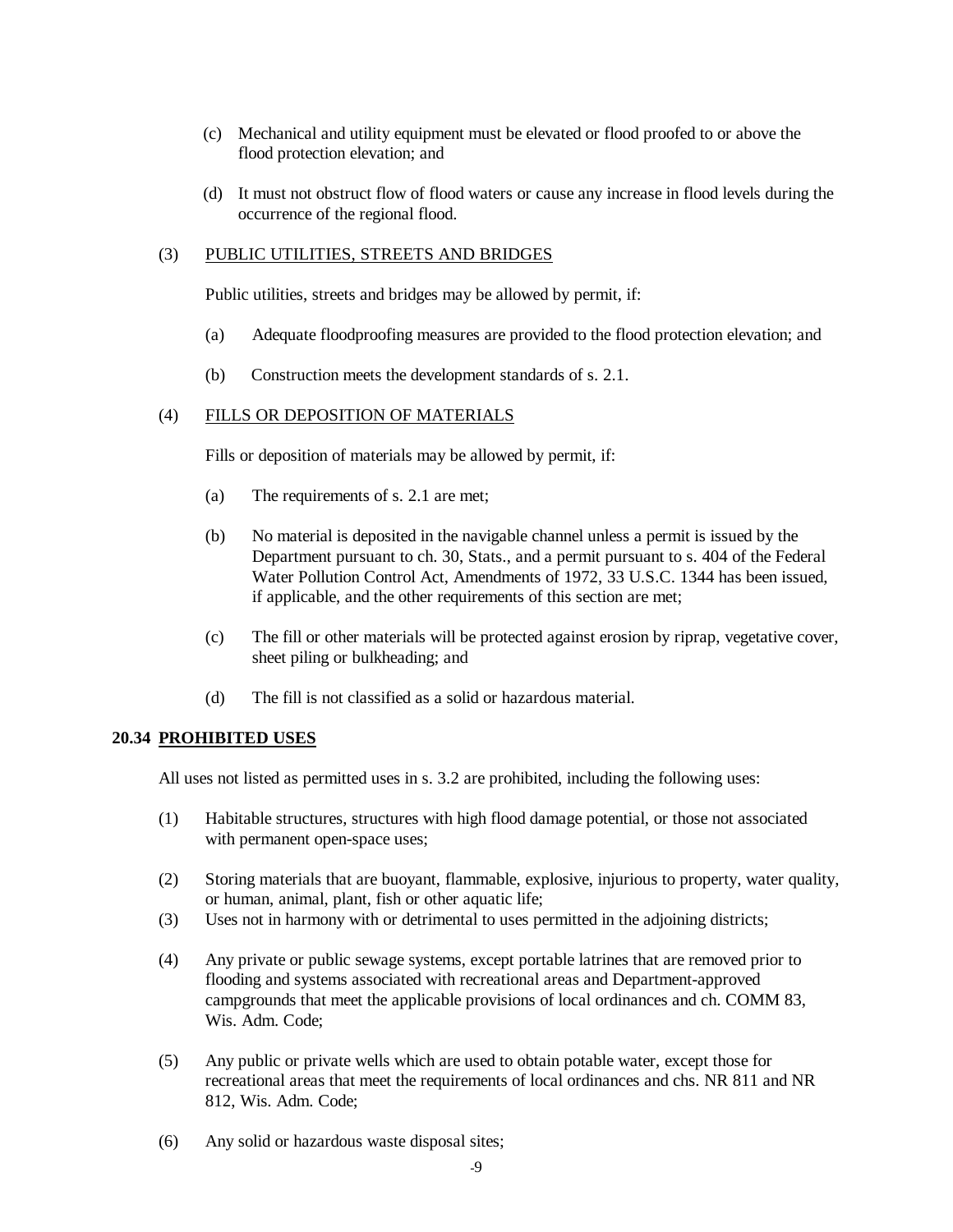- (c) Mechanical and utility equipment must be elevated or flood proofed to or above the flood protection elevation; and
- (d) It must not obstruct flow of flood waters or cause any increase in flood levels during the occurrence of the regional flood.

## (3) PUBLIC UTILITIES, STREETS AND BRIDGES

Public utilities, streets and bridges may be allowed by permit, if:

- (a) Adequate floodproofing measures are provided to the flood protection elevation; and
- (b) Construction meets the development standards of s. 2.1.

## (4) FILLS OR DEPOSITION OF MATERIALS

Fills or deposition of materials may be allowed by permit, if:

- (a) The requirements of s. 2.1 are met;
- (b) No material is deposited in the navigable channel unless a permit is issued by the Department pursuant to ch. 30, Stats., and a permit pursuant to s. 404 of the Federal Water Pollution Control Act, Amendments of 1972, 33 U.S.C. 1344 has been issued, if applicable, and the other requirements of this section are met;
- (c) The fill or other materials will be protected against erosion by riprap, vegetative cover, sheet piling or bulkheading; and
- (d) The fill is not classified as a solid or hazardous material.

#### **20.34 PROHIBITED USES**

All uses not listed as permitted uses in s. 3.2 are prohibited, including the following uses:

- (1) Habitable structures, structures with high flood damage potential, or those not associated with permanent open-space uses;
- (2) Storing materials that are buoyant, flammable, explosive, injurious to property, water quality, or human, animal, plant, fish or other aquatic life;
- (3) Uses not in harmony with or detrimental to uses permitted in the adjoining districts;
- (4) Any private or public sewage systems, except portable latrines that are removed prior to flooding and systems associated with recreational areas and Department-approved campgrounds that meet the applicable provisions of local ordinances and ch. COMM 83, Wis. Adm. Code;
- (5) Any public or private wells which are used to obtain potable water, except those for recreational areas that meet the requirements of local ordinances and chs. NR 811 and NR 812, Wis. Adm. Code;
- (6) Any solid or hazardous waste disposal sites;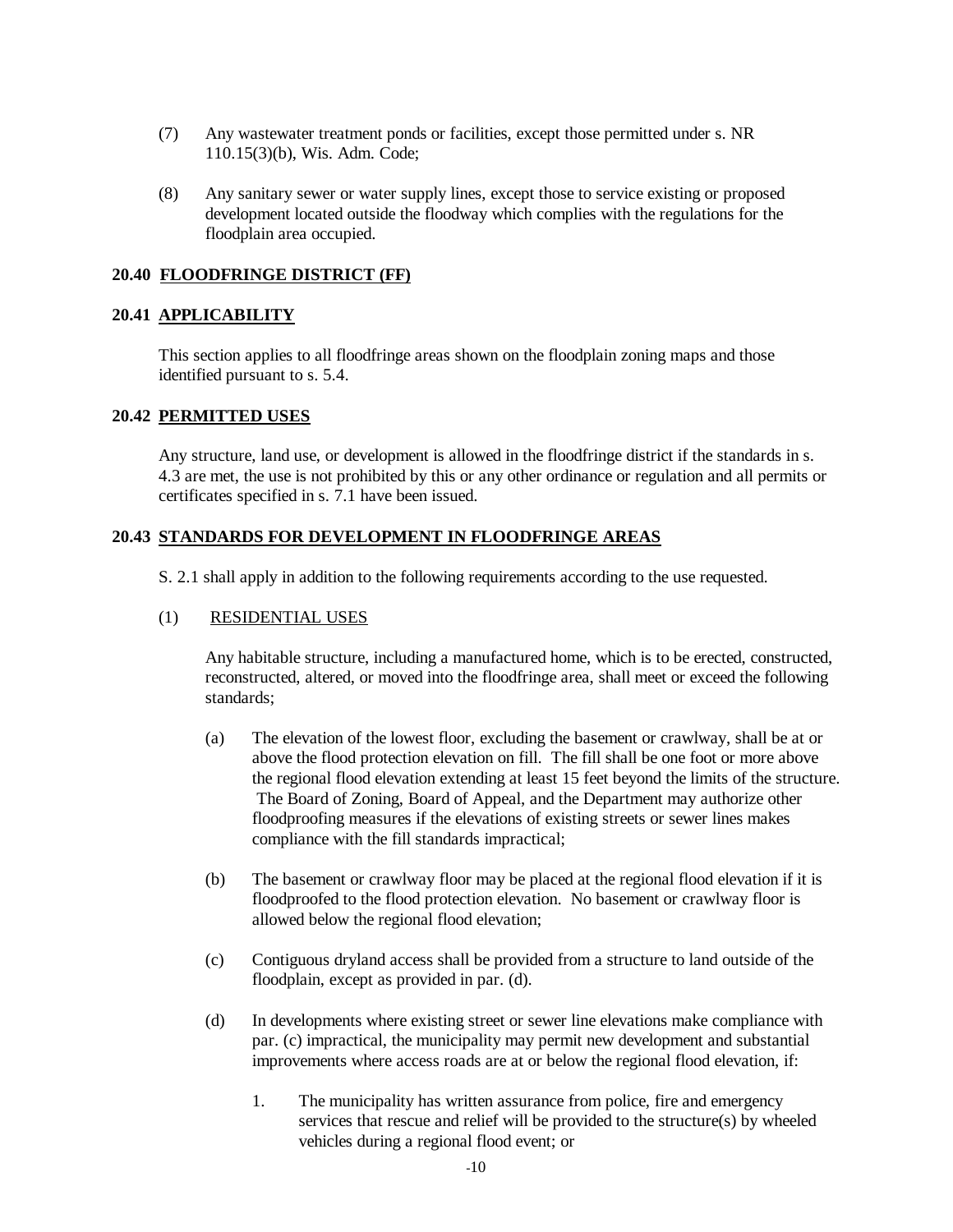- (7) Any wastewater treatment ponds or facilities, except those permitted under s. NR 110.15(3)(b), Wis. Adm. Code;
- (8) Any sanitary sewer or water supply lines, except those to service existing or proposed development located outside the floodway which complies with the regulations for the floodplain area occupied.

## **20.40 FLOODFRINGE DISTRICT (FF)**

#### **20.41 APPLICABILITY**

 This section applies to all floodfringe areas shown on the floodplain zoning maps and those identified pursuant to s. 5.4.

#### **20.42 PERMITTED USES**

 Any structure, land use, or development is allowed in the floodfringe district if the standards in s. 4.3 are met, the use is not prohibited by this or any other ordinance or regulation and all permits or certificates specified in s. 7.1 have been issued.

#### **20.43 STANDARDS FOR DEVELOPMENT IN FLOODFRINGE AREAS**

S. 2.1 shall apply in addition to the following requirements according to the use requested.

#### (1) RESIDENTIAL USES

Any habitable structure, including a manufactured home, which is to be erected, constructed, reconstructed, altered, or moved into the floodfringe area, shall meet or exceed the following standards;

- (a) The elevation of the lowest floor, excluding the basement or crawlway, shall be at or above the flood protection elevation on fill. The fill shall be one foot or more above the regional flood elevation extending at least 15 feet beyond the limits of the structure. The Board of Zoning, Board of Appeal, and the Department may authorize other floodproofing measures if the elevations of existing streets or sewer lines makes compliance with the fill standards impractical;
- (b) The basement or crawlway floor may be placed at the regional flood elevation if it is floodproofed to the flood protection elevation. No basement or crawlway floor is allowed below the regional flood elevation;
- (c) Contiguous dryland access shall be provided from a structure to land outside of the floodplain, except as provided in par. (d).
- (d) In developments where existing street or sewer line elevations make compliance with par. (c) impractical, the municipality may permit new development and substantial improvements where access roads are at or below the regional flood elevation, if:
	- 1. The municipality has written assurance from police, fire and emergency services that rescue and relief will be provided to the structure(s) by wheeled vehicles during a regional flood event; or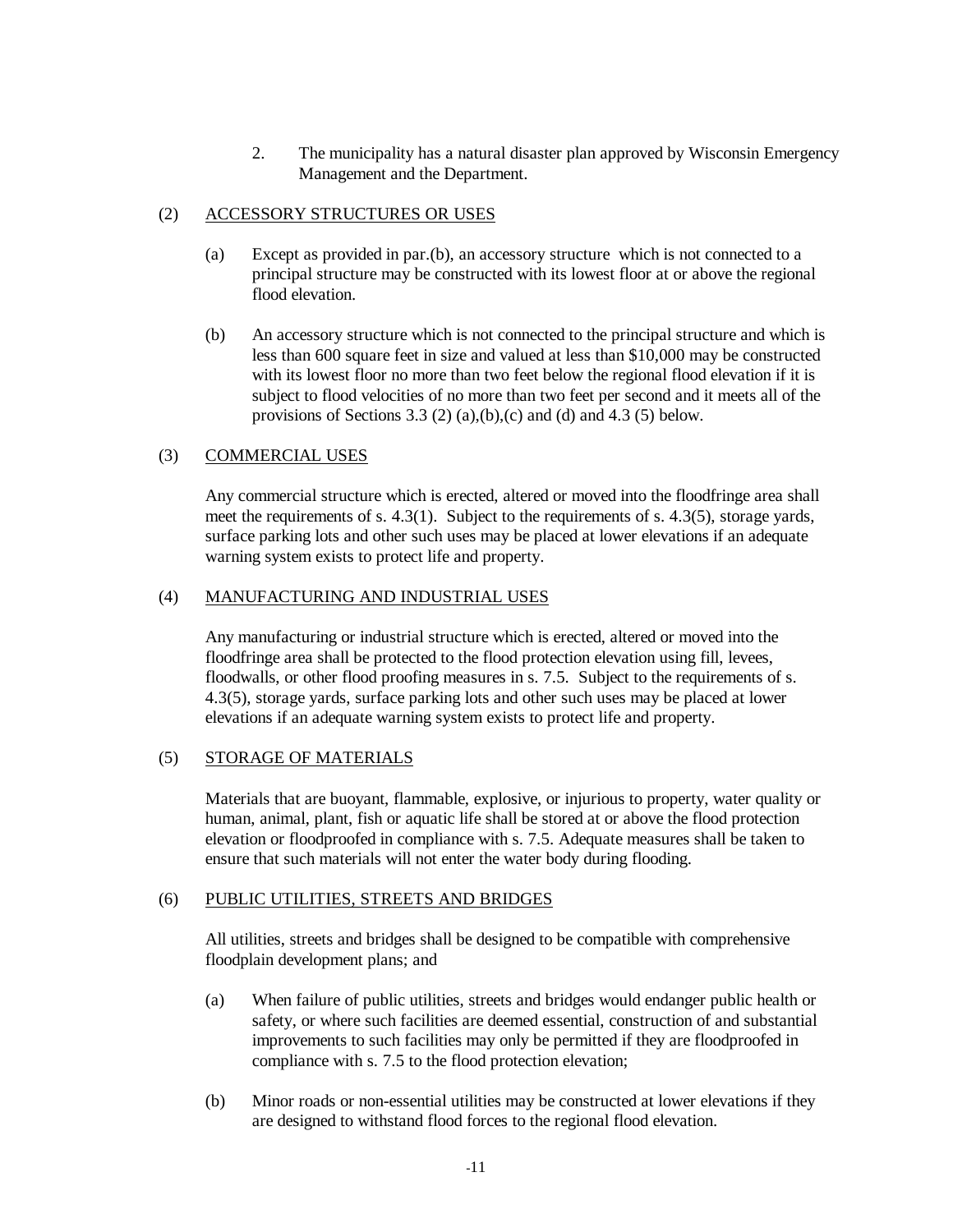2. The municipality has a natural disaster plan approved by Wisconsin Emergency Management and the Department.

## (2) ACCESSORY STRUCTURES OR USES

- (a) Except as provided in par.(b), an accessory structure which is not connected to a principal structure may be constructed with its lowest floor at or above the regional flood elevation
- (b) An accessory structure which is not connected to the principal structure and which is less than 600 square feet in size and valued at less than \$10,000 may be constructed with its lowest floor no more than two feet below the regional flood elevation if it is subject to flood velocities of no more than two feet per second and it meets all of the provisions of Sections 3.3 (2) (a),(b),(c) and (d) and 4.3 (5) below.

## (3) COMMERCIAL USES

Any commercial structure which is erected, altered or moved into the floodfringe area shall meet the requirements of s.  $4.3(1)$ . Subject to the requirements of s.  $4.3(5)$ , storage yards, surface parking lots and other such uses may be placed at lower elevations if an adequate warning system exists to protect life and property.

#### (4) MANUFACTURING AND INDUSTRIAL USES

Any manufacturing or industrial structure which is erected, altered or moved into the floodfringe area shall be protected to the flood protection elevation using fill, levees, floodwalls, or other flood proofing measures in s. 7.5. Subject to the requirements of s. 4.3(5), storage yards, surface parking lots and other such uses may be placed at lower elevations if an adequate warning system exists to protect life and property.

#### (5) STORAGE OF MATERIALS

Materials that are buoyant, flammable, explosive, or injurious to property, water quality or human, animal, plant, fish or aquatic life shall be stored at or above the flood protection elevation or floodproofed in compliance with s. 7.5. Adequate measures shall be taken to ensure that such materials will not enter the water body during flooding.

#### (6) PUBLIC UTILITIES, STREETS AND BRIDGES

All utilities, streets and bridges shall be designed to be compatible with comprehensive floodplain development plans; and

- (a) When failure of public utilities, streets and bridges would endanger public health or safety, or where such facilities are deemed essential, construction of and substantial improvements to such facilities may only be permitted if they are floodproofed in compliance with s. 7.5 to the flood protection elevation;
- (b) Minor roads or non-essential utilities may be constructed at lower elevations if they are designed to withstand flood forces to the regional flood elevation.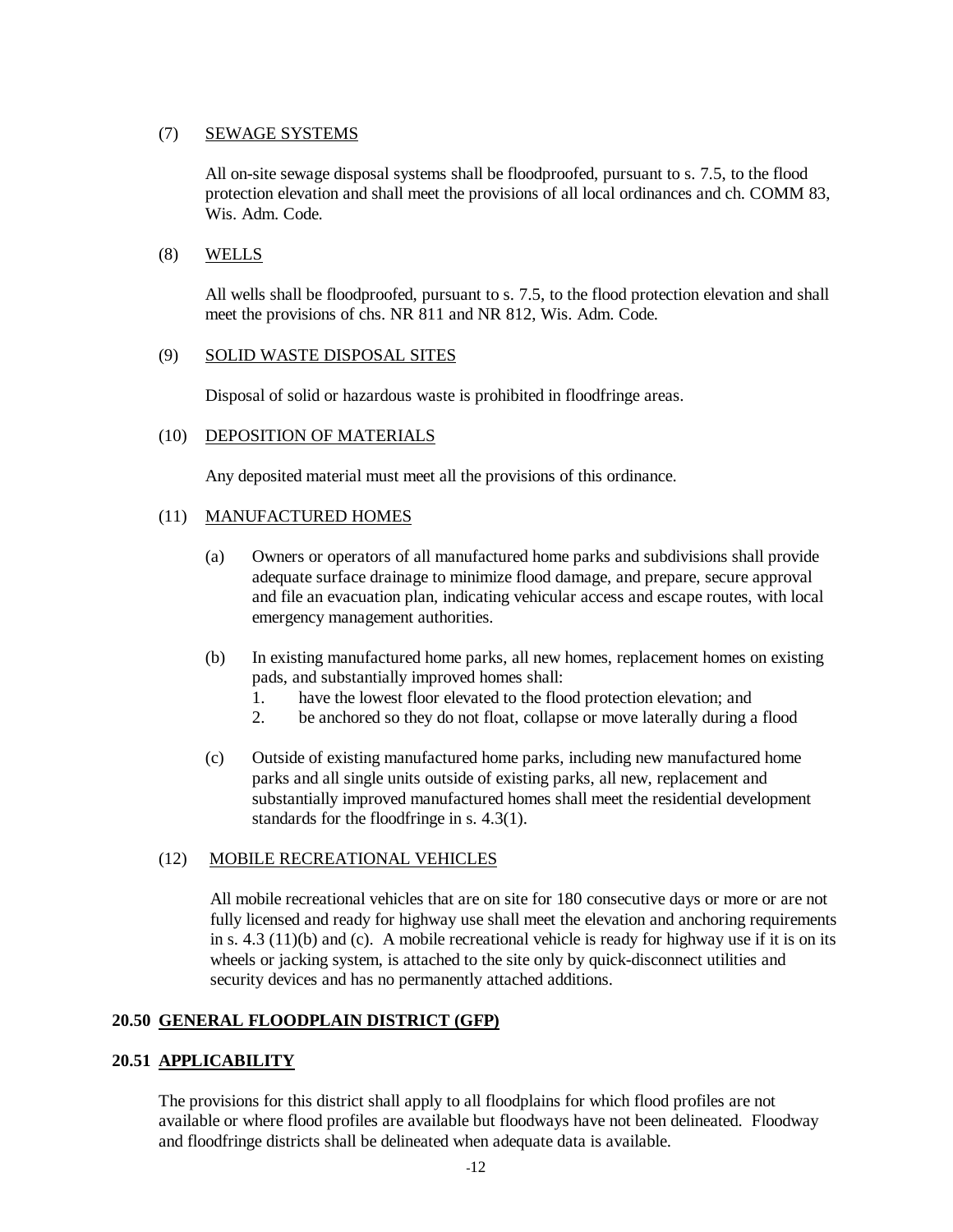## (7) SEWAGE SYSTEMS

All on-site sewage disposal systems shall be floodproofed, pursuant to s. 7.5, to the flood protection elevation and shall meet the provisions of all local ordinances and ch. COMM 83, Wis. Adm. Code.

## (8) WELLS

All wells shall be floodproofed, pursuant to s. 7.5, to the flood protection elevation and shall meet the provisions of chs. NR 811 and NR 812, Wis. Adm. Code.

## (9) SOLID WASTE DISPOSAL SITES

Disposal of solid or hazardous waste is prohibited in floodfringe areas.

#### (10) DEPOSITION OF MATERIALS

Any deposited material must meet all the provisions of this ordinance.

#### (11) MANUFACTURED HOMES

- (a) Owners or operators of all manufactured home parks and subdivisions shall provide adequate surface drainage to minimize flood damage, and prepare, secure approval and file an evacuation plan, indicating vehicular access and escape routes, with local emergency management authorities.
- (b) In existing manufactured home parks, all new homes, replacement homes on existing pads, and substantially improved homes shall:
	- 1. have the lowest floor elevated to the flood protection elevation; and
	- 2. be anchored so they do not float, collapse or move laterally during a flood
- (c) Outside of existing manufactured home parks, including new manufactured home parks and all single units outside of existing parks, all new, replacement and substantially improved manufactured homes shall meet the residential development standards for the floodfringe in s. 4.3(1).

## (12) MOBILE RECREATIONAL VEHICLES

All mobile recreational vehicles that are on site for 180 consecutive days or more or are not fully licensed and ready for highway use shall meet the elevation and anchoring requirements in s. 4.3 (11)(b) and (c). A mobile recreational vehicle is ready for highway use if it is on its wheels or jacking system, is attached to the site only by quick-disconnect utilities and security devices and has no permanently attached additions.

## **20.50 GENERAL FLOODPLAIN DISTRICT (GFP)**

## **20.51 APPLICABILITY**

 The provisions for this district shall apply to all floodplains for which flood profiles are not available or where flood profiles are available but floodways have not been delineated. Floodway and floodfringe districts shall be delineated when adequate data is available.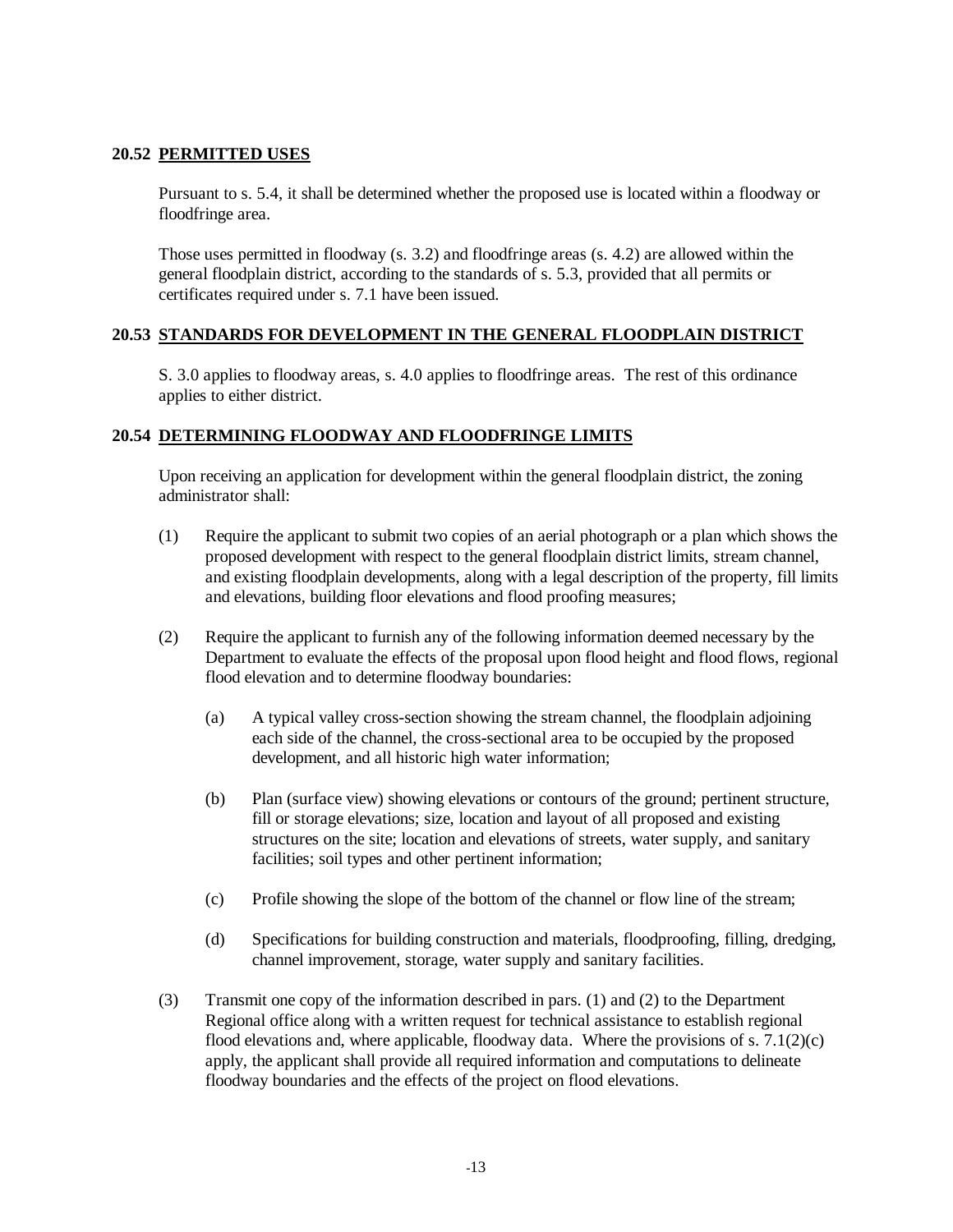## **20.52 PERMITTED USES**

 Pursuant to s. 5.4, it shall be determined whether the proposed use is located within a floodway or floodfringe area.

 Those uses permitted in floodway (s. 3.2) and floodfringe areas (s. 4.2) are allowed within the general floodplain district, according to the standards of s. 5.3, provided that all permits or certificates required under s. 7.1 have been issued.

## **20.53 STANDARDS FOR DEVELOPMENT IN THE GENERAL FLOODPLAIN DISTRICT**

 S. 3.0 applies to floodway areas, s. 4.0 applies to floodfringe areas. The rest of this ordinance applies to either district.

## **20.54 DETERMINING FLOODWAY AND FLOODFRINGE LIMITS**

 Upon receiving an application for development within the general floodplain district, the zoning administrator shall:

- (1) Require the applicant to submit two copies of an aerial photograph or a plan which shows the proposed development with respect to the general floodplain district limits, stream channel, and existing floodplain developments, along with a legal description of the property, fill limits and elevations, building floor elevations and flood proofing measures;
- (2) Require the applicant to furnish any of the following information deemed necessary by the Department to evaluate the effects of the proposal upon flood height and flood flows, regional flood elevation and to determine floodway boundaries:
	- (a) A typical valley cross-section showing the stream channel, the floodplain adjoining each side of the channel, the cross-sectional area to be occupied by the proposed development, and all historic high water information;
	- (b) Plan (surface view) showing elevations or contours of the ground; pertinent structure, fill or storage elevations; size, location and layout of all proposed and existing structures on the site; location and elevations of streets, water supply, and sanitary facilities; soil types and other pertinent information;
	- (c) Profile showing the slope of the bottom of the channel or flow line of the stream;
	- (d) Specifications for building construction and materials, floodproofing, filling, dredging, channel improvement, storage, water supply and sanitary facilities.
- (3) Transmit one copy of the information described in pars. (1) and (2) to the Department Regional office along with a written request for technical assistance to establish regional flood elevations and, where applicable, floodway data. Where the provisions of s.  $7.1(2)(c)$ apply, the applicant shall provide all required information and computations to delineate floodway boundaries and the effects of the project on flood elevations.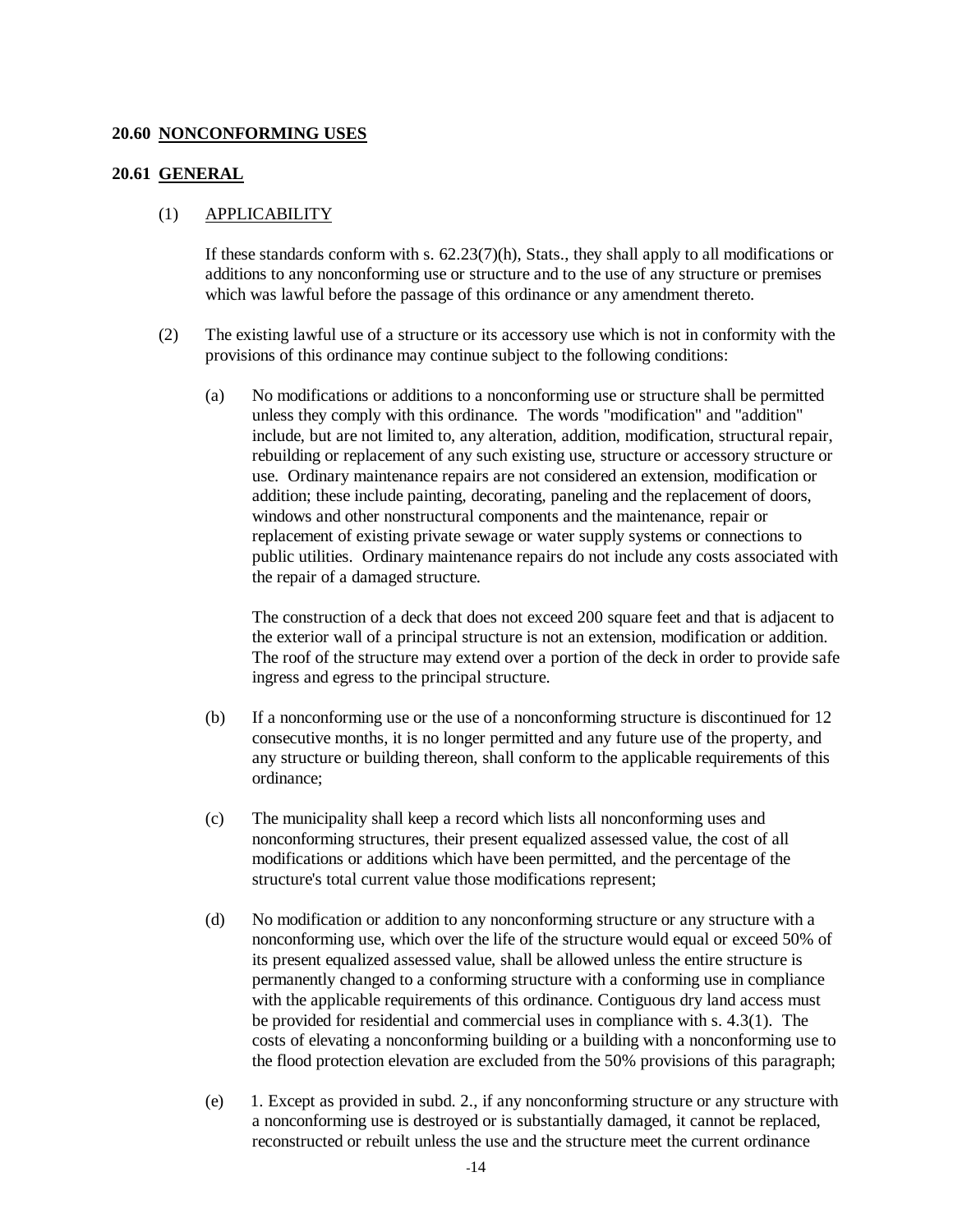#### **20.60 NONCONFORMING USES**

#### **20.61 GENERAL**

#### (1) APPLICABILITY

If these standards conform with s.  $62.23(7)(h)$ , Stats., they shall apply to all modifications or additions to any nonconforming use or structure and to the use of any structure or premises which was lawful before the passage of this ordinance or any amendment thereto.

- (2) The existing lawful use of a structure or its accessory use which is not in conformity with the provisions of this ordinance may continue subject to the following conditions:
	- (a) No modifications or additions to a nonconforming use or structure shall be permitted unless they comply with this ordinance. The words "modification" and "addition" include, but are not limited to, any alteration, addition, modification, structural repair, rebuilding or replacement of any such existing use, structure or accessory structure or use. Ordinary maintenance repairs are not considered an extension, modification or addition; these include painting, decorating, paneling and the replacement of doors, windows and other nonstructural components and the maintenance, repair or replacement of existing private sewage or water supply systems or connections to public utilities. Ordinary maintenance repairs do not include any costs associated with the repair of a damaged structure.

The construction of a deck that does not exceed 200 square feet and that is adjacent to the exterior wall of a principal structure is not an extension, modification or addition. The roof of the structure may extend over a portion of the deck in order to provide safe ingress and egress to the principal structure.

- (b) If a nonconforming use or the use of a nonconforming structure is discontinued for 12 consecutive months, it is no longer permitted and any future use of the property, and any structure or building thereon, shall conform to the applicable requirements of this ordinance;
- (c) The municipality shall keep a record which lists all nonconforming uses and nonconforming structures, their present equalized assessed value, the cost of all modifications or additions which have been permitted, and the percentage of the structure's total current value those modifications represent;
- (d) No modification or addition to any nonconforming structure or any structure with a nonconforming use, which over the life of the structure would equal or exceed 50% of its present equalized assessed value, shall be allowed unless the entire structure is permanently changed to a conforming structure with a conforming use in compliance with the applicable requirements of this ordinance. Contiguous dry land access must be provided for residential and commercial uses in compliance with s. 4.3(1). The costs of elevating a nonconforming building or a building with a nonconforming use to the flood protection elevation are excluded from the 50% provisions of this paragraph;
- (e) 1. Except as provided in subd. 2., if any nonconforming structure or any structure with a nonconforming use is destroyed or is substantially damaged, it cannot be replaced, reconstructed or rebuilt unless the use and the structure meet the current ordinance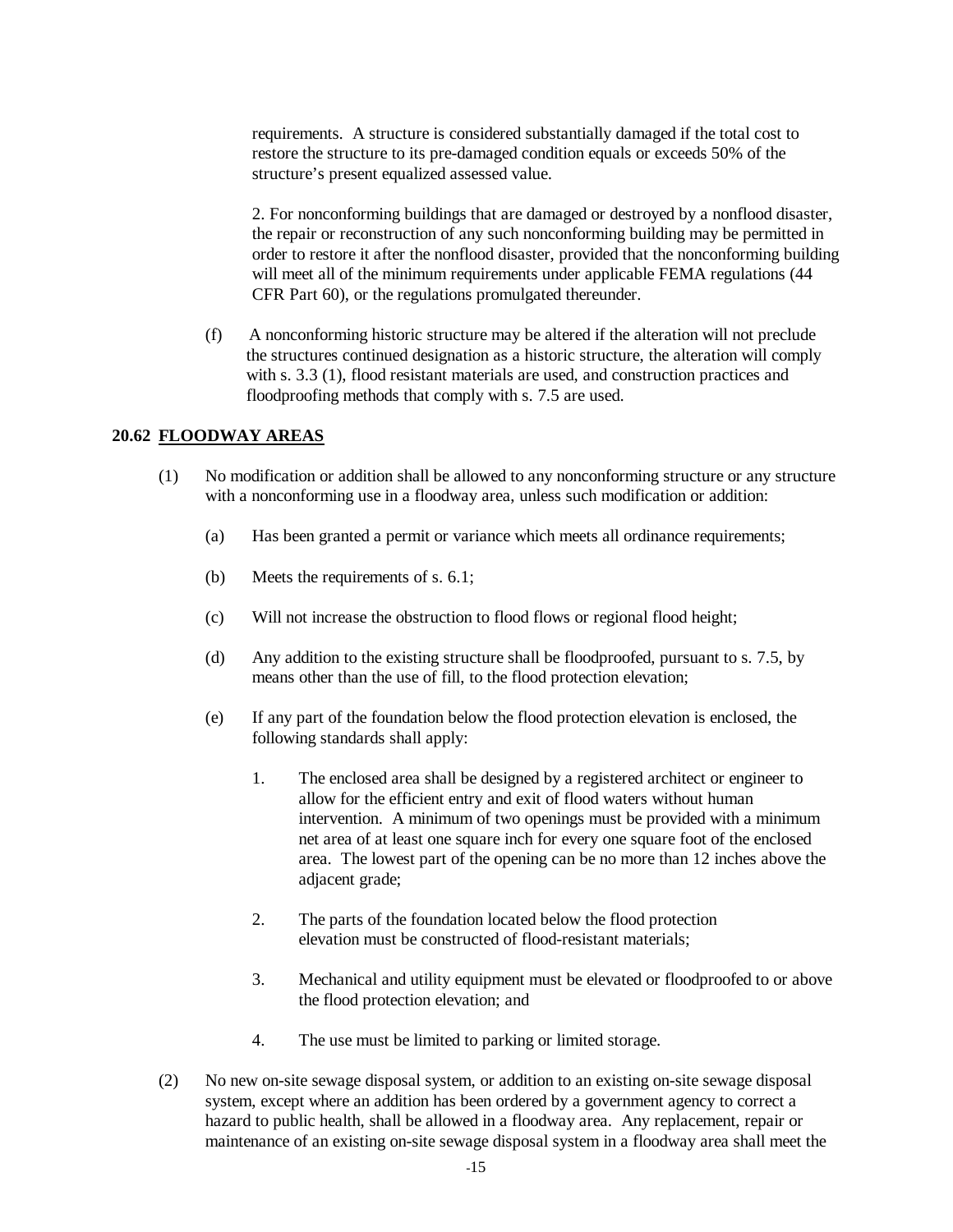requirements. A structure is considered substantially damaged if the total cost to restore the structure to its pre-damaged condition equals or exceeds 50% of the structure's present equalized assessed value.

2. For nonconforming buildings that are damaged or destroyed by a nonflood disaster, the repair or reconstruction of any such nonconforming building may be permitted in order to restore it after the nonflood disaster, provided that the nonconforming building will meet all of the minimum requirements under applicable FEMA regulations (44 CFR Part 60), or the regulations promulgated thereunder.

 (f) A nonconforming historic structure may be altered if the alteration will not preclude the structures continued designation as a historic structure, the alteration will comply with s. 3.3 (1), flood resistant materials are used, and construction practices and floodproofing methods that comply with s. 7.5 are used.

#### **20.62 FLOODWAY AREAS**

- (1) No modification or addition shall be allowed to any nonconforming structure or any structure with a nonconforming use in a floodway area, unless such modification or addition:
	- (a) Has been granted a permit or variance which meets all ordinance requirements;
	- (b) Meets the requirements of s. 6.1;
	- (c) Will not increase the obstruction to flood flows or regional flood height;
	- (d) Any addition to the existing structure shall be floodproofed, pursuant to s. 7.5, by means other than the use of fill, to the flood protection elevation;
	- (e) If any part of the foundation below the flood protection elevation is enclosed, the following standards shall apply:
		- 1. The enclosed area shall be designed by a registered architect or engineer to allow for the efficient entry and exit of flood waters without human intervention. A minimum of two openings must be provided with a minimum net area of at least one square inch for every one square foot of the enclosed area. The lowest part of the opening can be no more than 12 inches above the adjacent grade;
		- 2. The parts of the foundation located below the flood protection elevation must be constructed of flood-resistant materials;
		- 3. Mechanical and utility equipment must be elevated or floodproofed to or above the flood protection elevation; and
		- 4. The use must be limited to parking or limited storage.
- (2) No new on-site sewage disposal system, or addition to an existing on-site sewage disposal system, except where an addition has been ordered by a government agency to correct a hazard to public health, shall be allowed in a floodway area. Any replacement, repair or maintenance of an existing on-site sewage disposal system in a floodway area shall meet the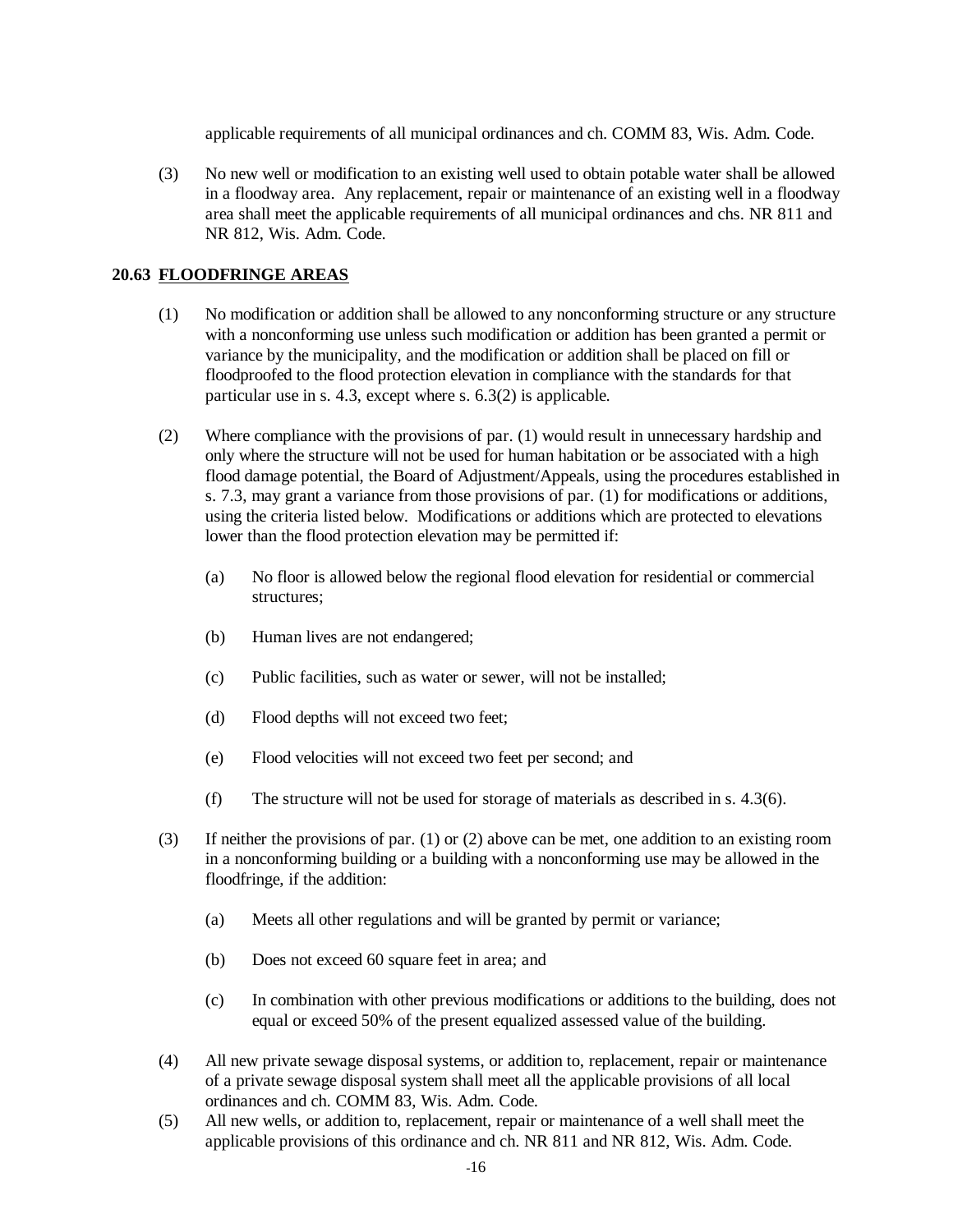applicable requirements of all municipal ordinances and ch. COMM 83, Wis. Adm. Code.

 (3) No new well or modification to an existing well used to obtain potable water shall be allowed in a floodway area. Any replacement, repair or maintenance of an existing well in a floodway area shall meet the applicable requirements of all municipal ordinances and chs. NR 811 and NR 812, Wis. Adm. Code.

## **20.63 FLOODFRINGE AREAS**

- (1) No modification or addition shall be allowed to any nonconforming structure or any structure with a nonconforming use unless such modification or addition has been granted a permit or variance by the municipality, and the modification or addition shall be placed on fill or floodproofed to the flood protection elevation in compliance with the standards for that particular use in s. 4.3, except where s. 6.3(2) is applicable.
- (2) Where compliance with the provisions of par. (1) would result in unnecessary hardship and only where the structure will not be used for human habitation or be associated with a high flood damage potential, the Board of Adjustment/Appeals, using the procedures established in s. 7.3, may grant a variance from those provisions of par. (1) for modifications or additions, using the criteria listed below. Modifications or additions which are protected to elevations lower than the flood protection elevation may be permitted if:
	- (a) No floor is allowed below the regional flood elevation for residential or commercial structures<sup>.</sup>
	- (b) Human lives are not endangered;
	- (c) Public facilities, such as water or sewer, will not be installed;
	- (d) Flood depths will not exceed two feet;
	- (e) Flood velocities will not exceed two feet per second; and
	- (f) The structure will not be used for storage of materials as described in s. 4.3(6).
- (3) If neither the provisions of par. (1) or (2) above can be met, one addition to an existing room in a nonconforming building or a building with a nonconforming use may be allowed in the floodfringe, if the addition:
	- (a) Meets all other regulations and will be granted by permit or variance;
	- (b) Does not exceed 60 square feet in area; and
	- (c) In combination with other previous modifications or additions to the building, does not equal or exceed 50% of the present equalized assessed value of the building.
- (4) All new private sewage disposal systems, or addition to, replacement, repair or maintenance of a private sewage disposal system shall meet all the applicable provisions of all local ordinances and ch. COMM 83, Wis. Adm. Code.
- (5) All new wells, or addition to, replacement, repair or maintenance of a well shall meet the applicable provisions of this ordinance and ch. NR 811 and NR 812, Wis. Adm. Code.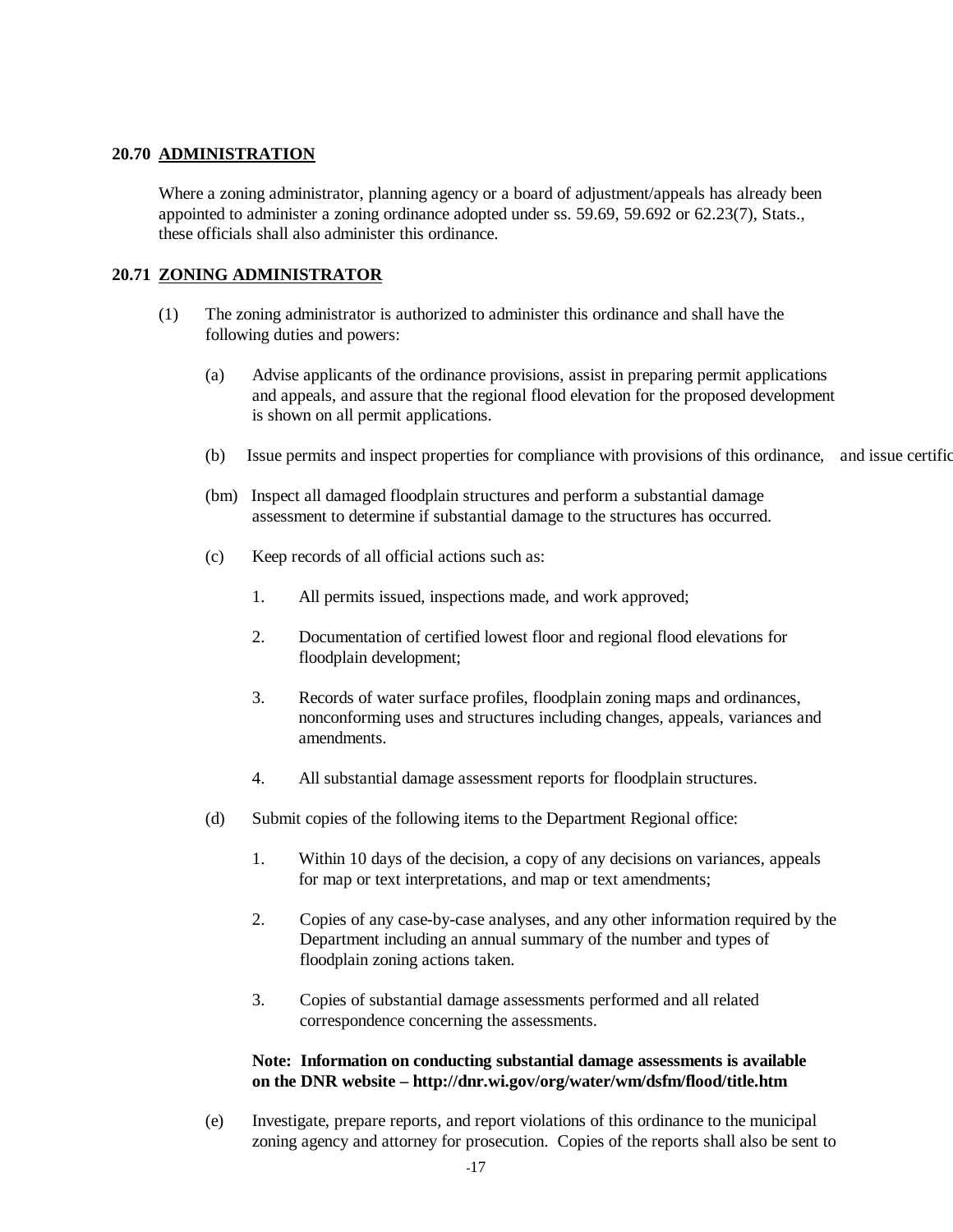## **20.70 ADMINISTRATION**

 Where a zoning administrator, planning agency or a board of adjustment/appeals has already been appointed to administer a zoning ordinance adopted under ss. 59.69, 59.692 or 62.23(7), Stats., these officials shall also administer this ordinance.

## **20.71 ZONING ADMINISTRATOR**

- (1) The zoning administrator is authorized to administer this ordinance and shall have the following duties and powers:
	- (a) Advise applicants of the ordinance provisions, assist in preparing permit applications and appeals, and assure that the regional flood elevation for the proposed development is shown on all permit applications.
	- (b) Issue permits and inspect properties for compliance with provisions of this ordinance, and issue certification
	- (bm) Inspect all damaged floodplain structures and perform a substantial damage assessment to determine if substantial damage to the structures has occurred.
	- (c) Keep records of all official actions such as:
		- 1. All permits issued, inspections made, and work approved;
		- 2. Documentation of certified lowest floor and regional flood elevations for floodplain development;
		- 3. Records of water surface profiles, floodplain zoning maps and ordinances, nonconforming uses and structures including changes, appeals, variances and amendments.
		- 4. All substantial damage assessment reports for floodplain structures.
	- (d) Submit copies of the following items to the Department Regional office:
		- 1. Within 10 days of the decision, a copy of any decisions on variances, appeals for map or text interpretations, and map or text amendments;
		- 2. Copies of any case-by-case analyses, and any other information required by the Department including an annual summary of the number and types of floodplain zoning actions taken.
		- 3. Copies of substantial damage assessments performed and all related correspondence concerning the assessments.

## **Note: Information on conducting substantial damage assessments is available on the DNR website – http://dnr.wi.gov/org/water/wm/dsfm/flood/title.htm**

 (e) Investigate, prepare reports, and report violations of this ordinance to the municipal zoning agency and attorney for prosecution. Copies of the reports shall also be sent to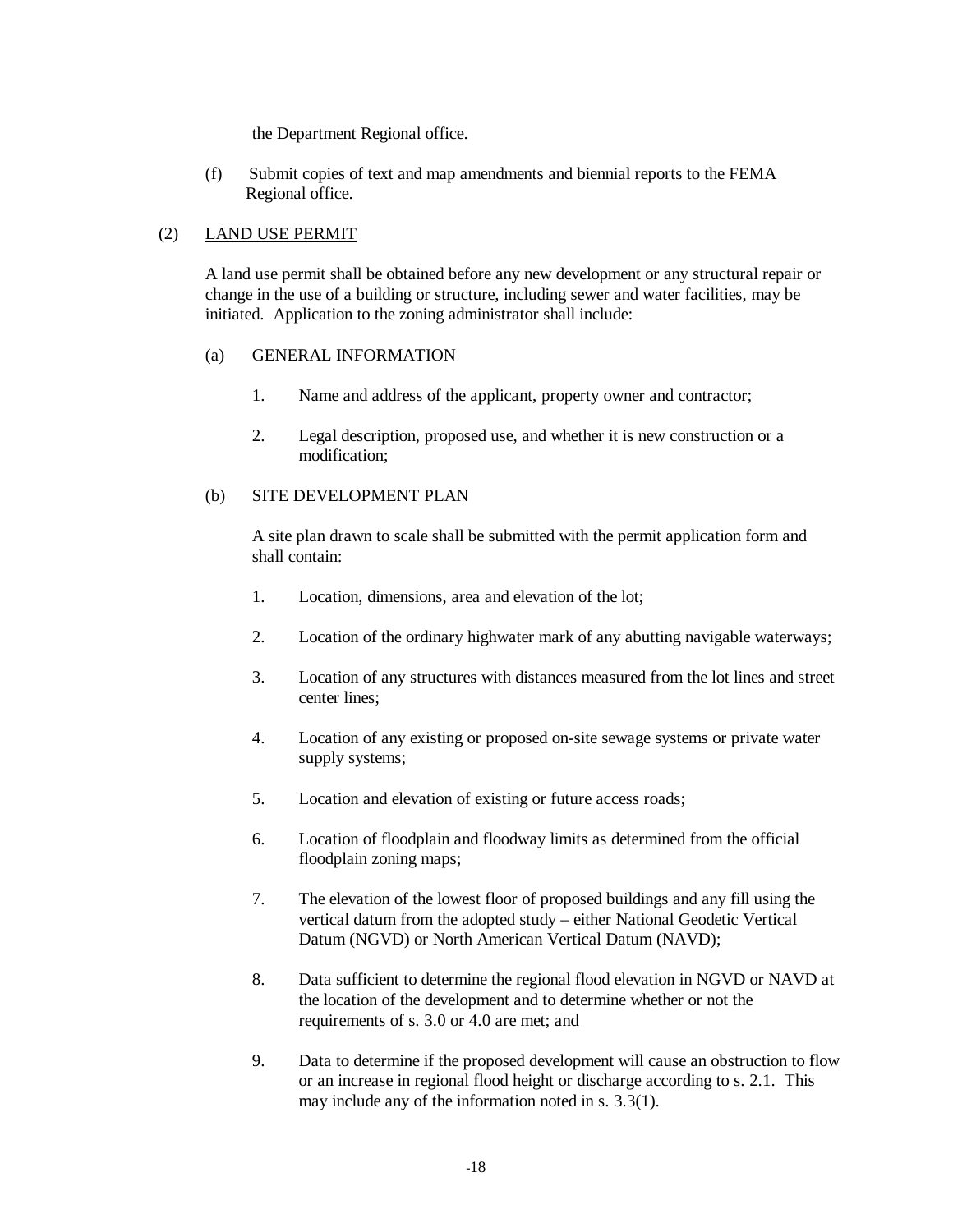the Department Regional office.

(f) Submit copies of text and map amendments and biennial reports to the FEMA Regional office.

## (2) LAND USE PERMIT

 A land use permit shall be obtained before any new development or any structural repair or change in the use of a building or structure, including sewer and water facilities, may be initiated. Application to the zoning administrator shall include:

## (a) GENERAL INFORMATION

- 1. Name and address of the applicant, property owner and contractor;
- 2. Legal description, proposed use, and whether it is new construction or a modification;

## (b) SITE DEVELOPMENT PLAN

 A site plan drawn to scale shall be submitted with the permit application form and shall contain:

- 1. Location, dimensions, area and elevation of the lot;
- 2. Location of the ordinary highwater mark of any abutting navigable waterways;
- 3. Location of any structures with distances measured from the lot lines and street center lines;
- 4. Location of any existing or proposed on-site sewage systems or private water supply systems;
- 5. Location and elevation of existing or future access roads;
- 6. Location of floodplain and floodway limits as determined from the official floodplain zoning maps;
- 7. The elevation of the lowest floor of proposed buildings and any fill using the vertical datum from the adopted study – either National Geodetic Vertical Datum (NGVD) or North American Vertical Datum (NAVD);
- 8. Data sufficient to determine the regional flood elevation in NGVD or NAVD at the location of the development and to determine whether or not the requirements of s. 3.0 or 4.0 are met; and
- 9. Data to determine if the proposed development will cause an obstruction to flow or an increase in regional flood height or discharge according to s. 2.1. This may include any of the information noted in s. 3.3(1).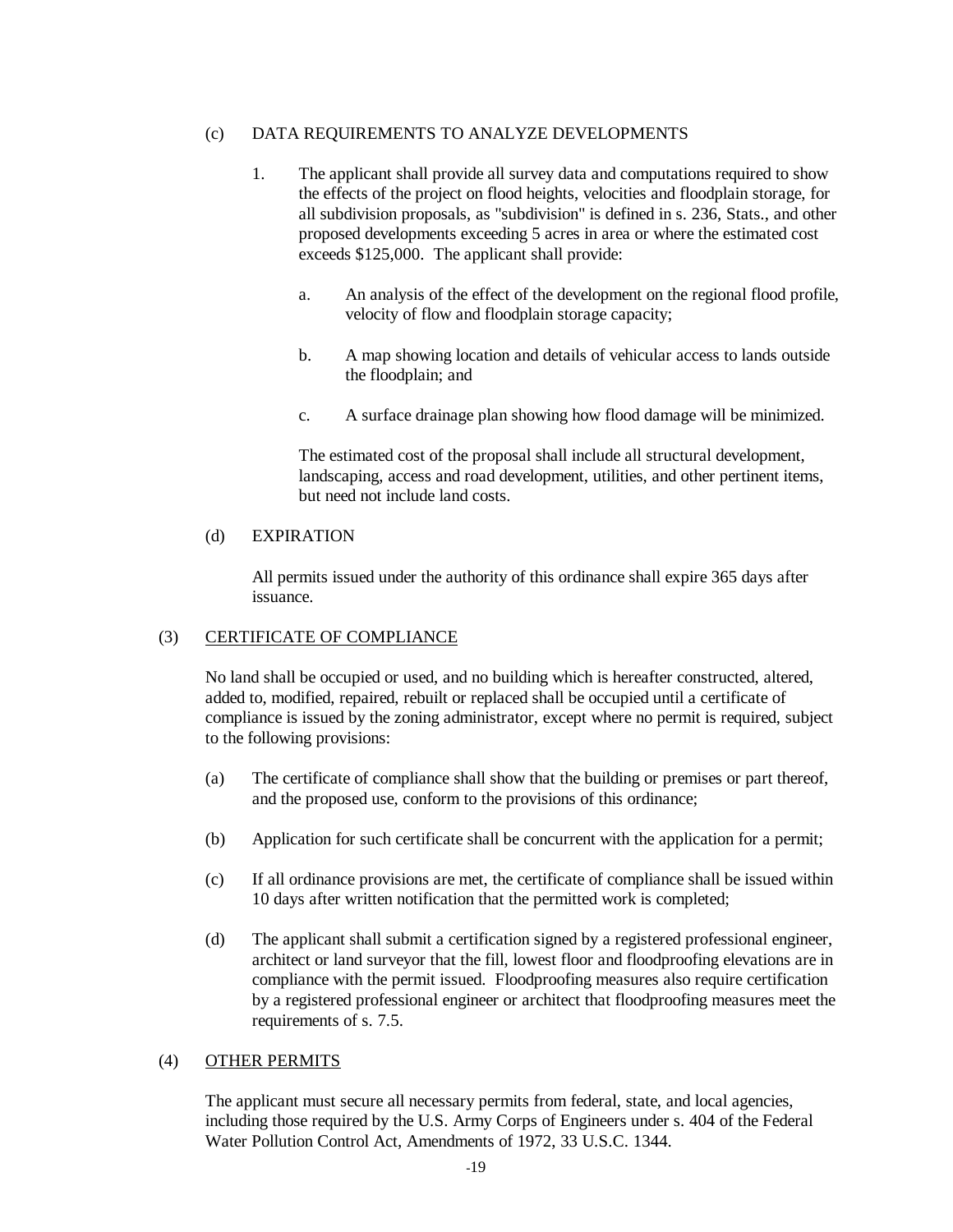## <span id="page-22-0"></span>(c) DATA REQUIREMENTS TO ANALYZE DEVELOPMENTS

- 1. The applicant shall provide all survey data and computations required to show the effects of the project on flood heights, velocities and floodplain storage, for all subdivision proposals, as "subdivision" is defined in s. 236, Stats., and other proposed developments exceeding 5 acres in area or where the estimated cost exceeds \$125,000. The applicant shall provide:
	- a. An analysis of the effect of the development on the regional flood profile, velocity of flow and floodplain storage capacity;
	- b. A map showing location and details of vehicular access to lands outside the floodplain; and
	- c. A surface drainage plan showing how flood damage will be minimized.

 The estimated cost of the proposal shall include all structural development, landscaping, access and road development, utilities, and other pertinent items, but need not include land costs.

#### (d) EXPIRATION

 All permits issued under the authority of this ordinance shall expire 365 days after issuance.

## (3) CERTIFICATE OF COMPLIANCE

 No land shall be occupied or used, and no building which is hereafter constructed, altered, added to, modified, repaired, rebuilt or replaced shall be occupied until a certificate of compliance is issued by the zoning administrator, except where no permit is required, subject to the following provisions:

- (a) The certificate of compliance shall show that the building or premises or part thereof, and the proposed use, conform to the provisions of this ordinance;
- (b) Application for such certificate shall be concurrent with the application for a permit;
- (c) If all ordinance provisions are met, the certificate of compliance shall be issued within 10 days after written notification that the permitted work is completed;
- (d) The applicant shall submit a certification signed by a registered professional engineer, architect or land surveyor that the fill, lowest floor and floodproofing elevations are in compliance with the permit issued. Floodproofing measures also require certification by a registered professional engineer or architect that floodproofing measures meet the requirements of s. 7.5.

#### (4) OTHER PERMITS

 The applicant must secure all necessary permits from federal, state, and local agencies, including those required by the U.S. Army Corps of Engineers under s. 404 of the Federal Water Pollution Control Act, Amendments of 1972, 33 U.S.C. 1344.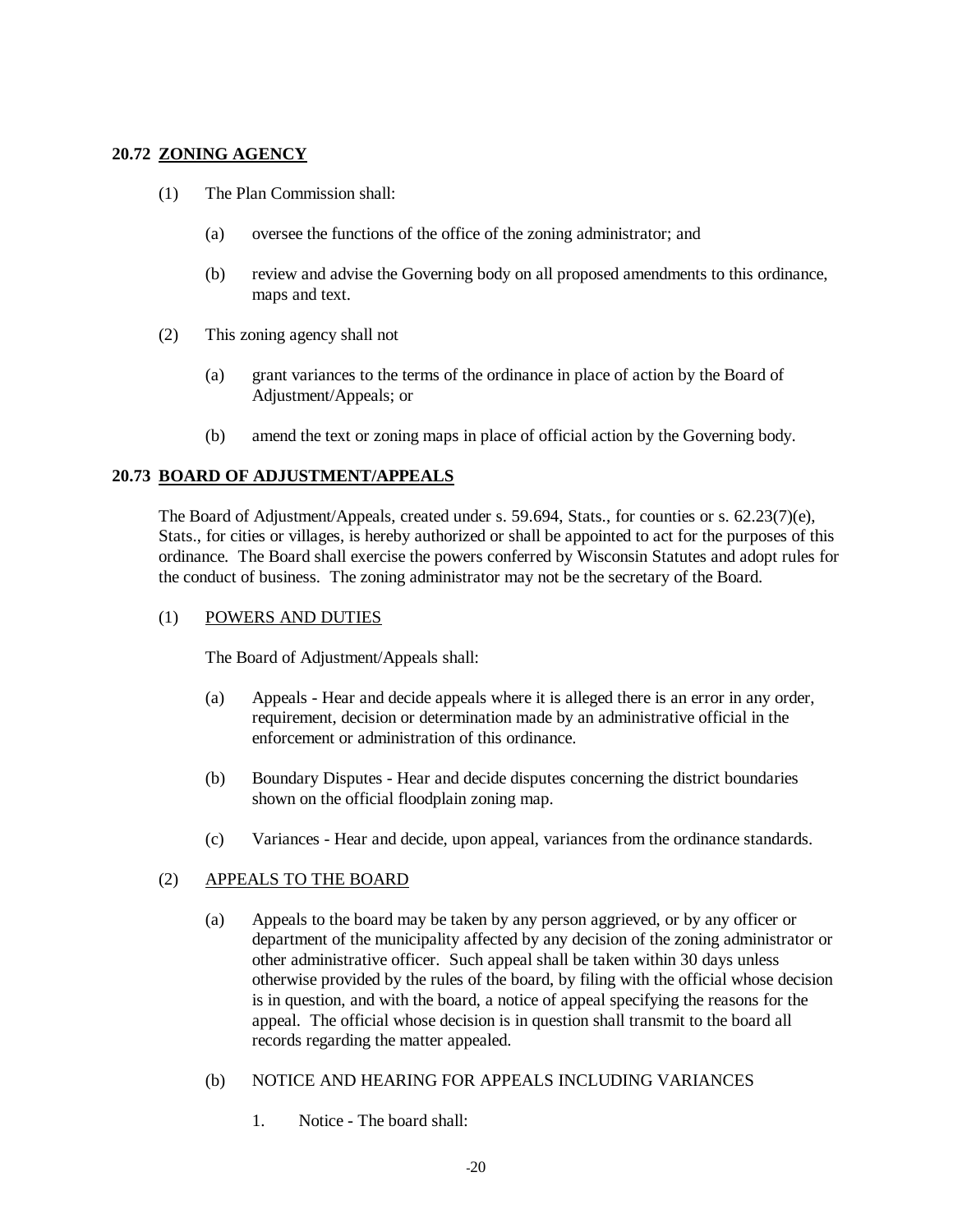## <span id="page-23-0"></span>**20.72 ZONING AGENCY**

- (1) The Plan Commission shall:
	- (a) oversee the functions of the office of the zoning administrator; and
	- (b) review and advise the Governing body on all proposed amendments to this ordinance, maps and text.
- (2) This zoning agency shall not
	- (a) grant variances to the terms of the ordinance in place of action by the Board of Adjustment/Appeals; or
	- (b) amend the text or zoning maps in place of official action by the Governing body.

## **20.73 BOARD OF ADJUSTMENT/APPEALS**

The Board of Adjustment/Appeals, created under s. 59.694, Stats., for counties or s. 62.23(7)(e), Stats., for cities or villages, is hereby authorized or shall be appointed to act for the purposes of this ordinance. The Board shall exercise the powers conferred by Wisconsin Statutes and adopt rules for the conduct of business. The zoning administrator may not be the secretary of the Board.

#### (1) POWERS AND DUTIES

The Board of Adjustment/Appeals shall:

- (a) Appeals Hear and decide appeals where it is alleged there is an error in any order, requirement, decision or determination made by an administrative official in the enforcement or administration of this ordinance.
- (b) Boundary Disputes Hear and decide disputes concerning the district boundaries shown on the official floodplain zoning map.
- (c) Variances Hear and decide, upon appeal, variances from the ordinance standards.

## (2) APPEALS TO THE BOARD

- (a) Appeals to the board may be taken by any person aggrieved, or by any officer or department of the municipality affected by any decision of the zoning administrator or other administrative officer. Such appeal shall be taken within 30 days unless otherwise provided by the rules of the board, by filing with the official whose decision is in question, and with the board, a notice of appeal specifying the reasons for the appeal. The official whose decision is in question shall transmit to the board all records regarding the matter appealed.
- (b) NOTICE AND HEARING FOR APPEALS INCLUDING VARIANCES
	- 1. Notice The board shall: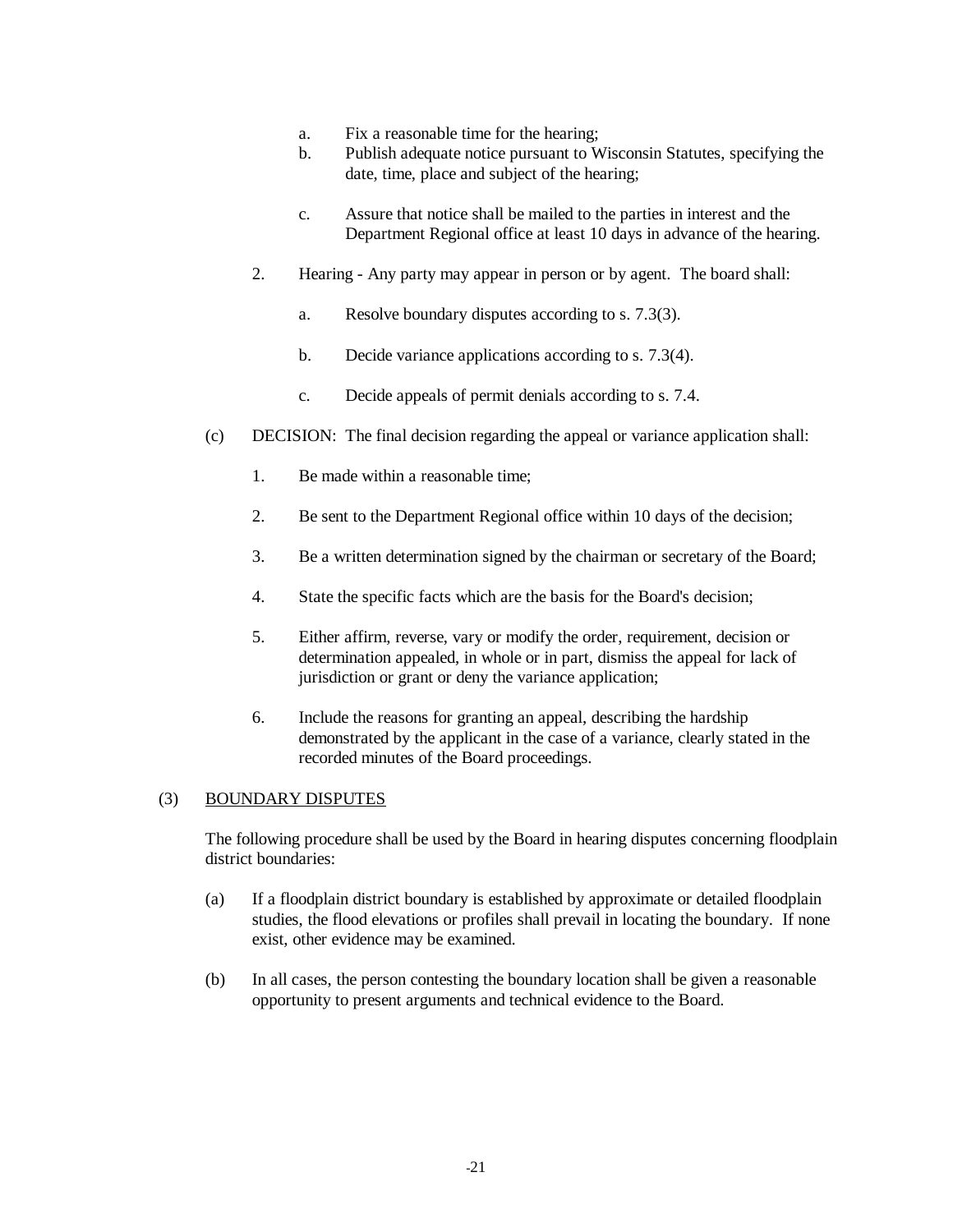- a. Fix a reasonable time for the hearing;
- b. Publish adequate notice pursuant to Wisconsin Statutes, specifying the date, time, place and subject of the hearing;
- c. Assure that notice shall be mailed to the parties in interest and the Department Regional office at least 10 days in advance of the hearing.
- 2. Hearing Any party may appear in person or by agent. The board shall:
	- a. Resolve boundary disputes according to s. 7.3(3).
	- b. Decide variance applications according to s. 7.3(4).
	- c. Decide appeals of permit denials according to s. 7.4.
- (c) DECISION: The final decision regarding the appeal or variance application shall:
	- 1. Be made within a reasonable time;
	- 2. Be sent to the Department Regional office within 10 days of the decision;
	- 3. Be a written determination signed by the chairman or secretary of the Board;
	- 4. State the specific facts which are the basis for the Board's decision;
	- 5. Either affirm, reverse, vary or modify the order, requirement, decision or determination appealed, in whole or in part, dismiss the appeal for lack of jurisdiction or grant or deny the variance application;
	- 6. Include the reasons for granting an appeal, describing the hardship demonstrated by the applicant in the case of a variance, clearly stated in the recorded minutes of the Board proceedings.

#### (3) BOUNDARY DISPUTES

 The following procedure shall be used by the Board in hearing disputes concerning floodplain district boundaries:

- (a) If a floodplain district boundary is established by approximate or detailed floodplain studies, the flood elevations or profiles shall prevail in locating the boundary. If none exist, other evidence may be examined.
- (b) In all cases, the person contesting the boundary location shall be given a reasonable opportunity to present arguments and technical evidence to the Board.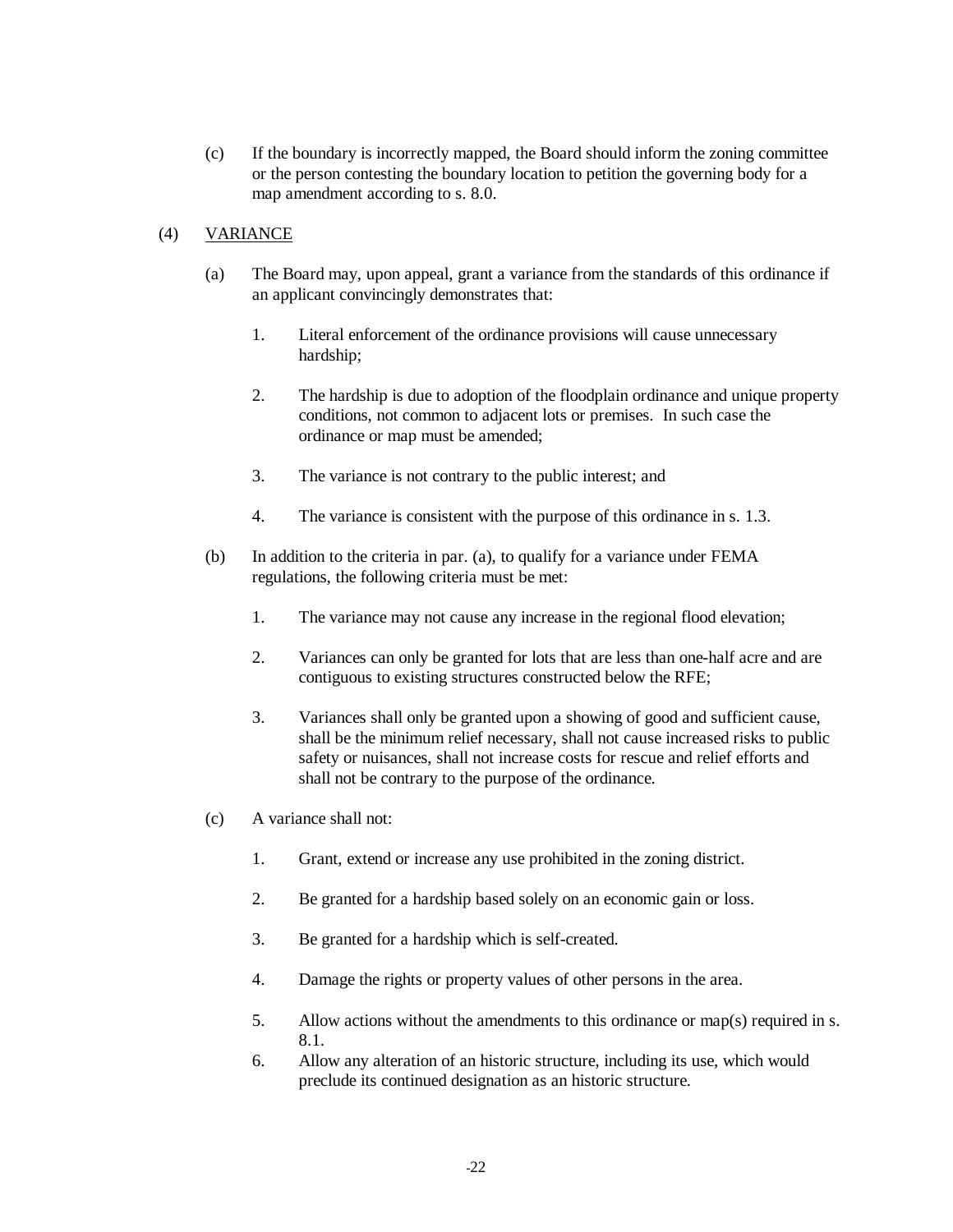(c) If the boundary is incorrectly mapped, the Board should inform the zoning committee or the person contesting the boundary location to petition the governing body for a map amendment according to s. 8.0.

## (4) VARIANCE

- (a) The Board may, upon appeal, grant a variance from the standards of this ordinance if an applicant convincingly demonstrates that:
	- 1. Literal enforcement of the ordinance provisions will cause unnecessary hardship;
	- 2. The hardship is due to adoption of the floodplain ordinance and unique property conditions, not common to adjacent lots or premises. In such case the ordinance or map must be amended;
	- 3. The variance is not contrary to the public interest; and
	- 4. The variance is consistent with the purpose of this ordinance in s. 1.3.
- (b) In addition to the criteria in par. (a), to qualify for a variance under FEMA regulations, the following criteria must be met:
	- 1. The variance may not cause any increase in the regional flood elevation;
	- 2. Variances can only be granted for lots that are less than one-half acre and are contiguous to existing structures constructed below the RFE;
	- 3. Variances shall only be granted upon a showing of good and sufficient cause, shall be the minimum relief necessary, shall not cause increased risks to public safety or nuisances, shall not increase costs for rescue and relief efforts and shall not be contrary to the purpose of the ordinance.
- (c) A variance shall not:
	- 1. Grant, extend or increase any use prohibited in the zoning district.
	- 2. Be granted for a hardship based solely on an economic gain or loss.
	- 3. Be granted for a hardship which is self-created.
	- 4. Damage the rights or property values of other persons in the area.
	- 5. Allow actions without the amendments to this ordinance or map(s) required in s. 8.1.
	- 6. Allow any alteration of an historic structure, including its use, which would preclude its continued designation as an historic structure.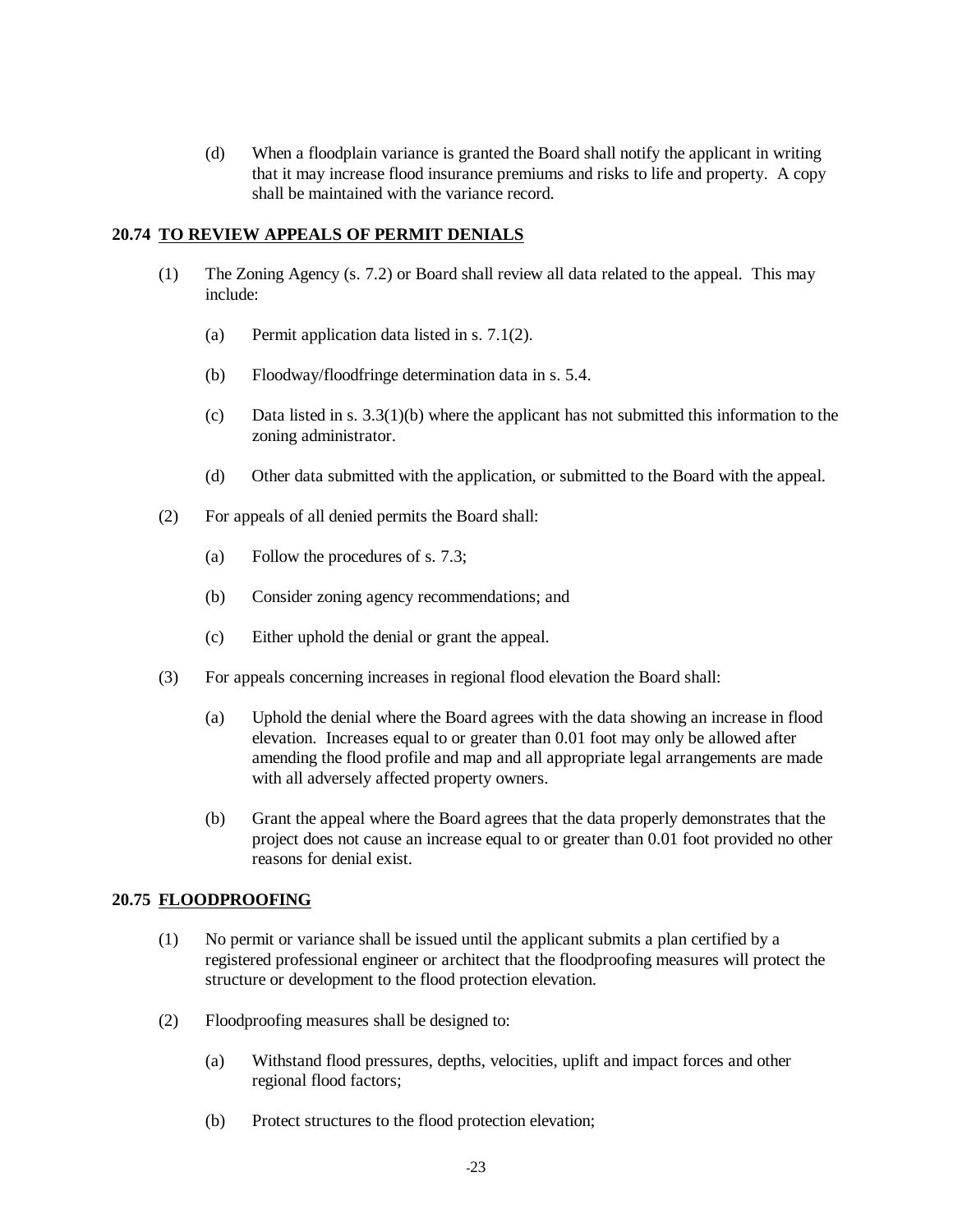(d) When a floodplain variance is granted the Board shall notify the applicant in writing that it may increase flood insurance premiums and risks to life and property. A copy shall be maintained with the variance record.

## **20.74 TO REVIEW APPEALS OF PERMIT DENIALS**

- (1) The Zoning Agency (s. 7.2) or Board shall review all data related to the appeal. This may include:
	- (a) Permit application data listed in s. 7.1(2).
	- (b) Floodway/floodfringe determination data in s. 5.4.
	- (c) Data listed in s. 3.3(1)(b) where the applicant has not submitted this information to the zoning administrator.
	- (d) Other data submitted with the application, or submitted to the Board with the appeal.
- (2) For appeals of all denied permits the Board shall:
	- (a) Follow the procedures of s. 7.3;
	- (b) Consider zoning agency recommendations; and
	- (c) Either uphold the denial or grant the appeal.
- (3) For appeals concerning increases in regional flood elevation the Board shall:
	- (a) Uphold the denial where the Board agrees with the data showing an increase in flood elevation. Increases equal to or greater than 0.01 foot may only be allowed after amending the flood profile and map and all appropriate legal arrangements are made with all adversely affected property owners.
	- (b) Grant the appeal where the Board agrees that the data properly demonstrates that the project does not cause an increase equal to or greater than 0.01 foot provided no other reasons for denial exist.

## **20.75 FLOODPROOFING**

- (1) No permit or variance shall be issued until the applicant submits a plan certified by a registered professional engineer or architect that the floodproofing measures will protect the structure or development to the flood protection elevation.
- (2) Floodproofing measures shall be designed to:
	- (a) Withstand flood pressures, depths, velocities, uplift and impact forces and other regional flood factors;
	- (b) Protect structures to the flood protection elevation;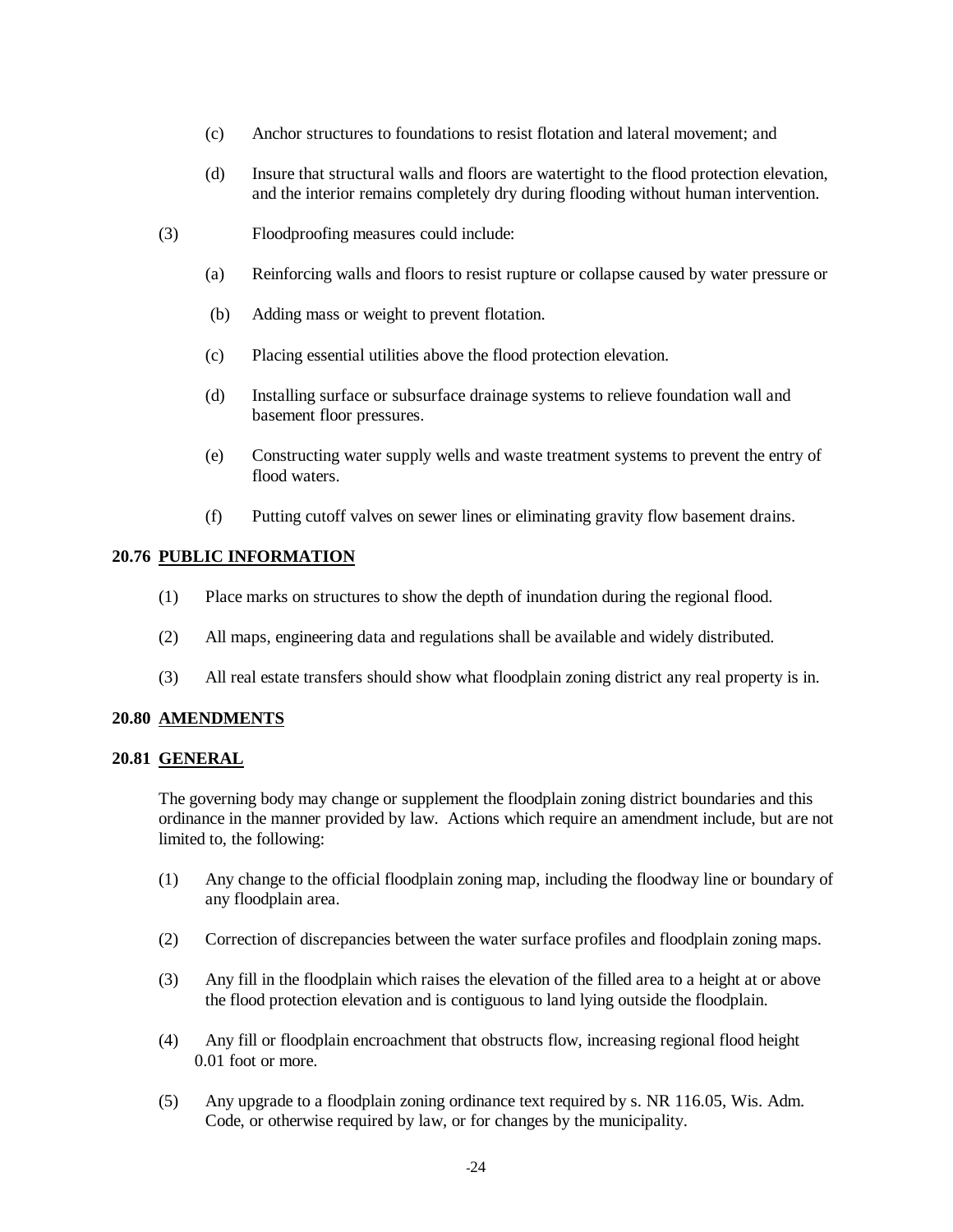- (c) Anchor structures to foundations to resist flotation and lateral movement; and
- (d) Insure that structural walls and floors are watertight to the flood protection elevation, and the interior remains completely dry during flooding without human intervention.
- (3) Floodproofing measures could include:
	- (a) Reinforcing walls and floors to resist rupture or collapse caused by water pressure or
	- (b) Adding mass or weight to prevent flotation.
	- (c) Placing essential utilities above the flood protection elevation.
	- (d) Installing surface or subsurface drainage systems to relieve foundation wall and basement floor pressures.
	- (e) Constructing water supply wells and waste treatment systems to prevent the entry of flood waters.
	- (f) Putting cutoff valves on sewer lines or eliminating gravity flow basement drains.

## **20.76 PUBLIC INFORMATION**

- (1) Place marks on structures to show the depth of inundation during the regional flood.
- (2) All maps, engineering data and regulations shall be available and widely distributed.
- (3) All real estate transfers should show what floodplain zoning district any real property is in.

#### **20.80 AMENDMENTS**

#### **20.81 GENERAL**

 The governing body may change or supplement the floodplain zoning district boundaries and this ordinance in the manner provided by law. Actions which require an amendment include, but are not limited to, the following:

- (1) Any change to the official floodplain zoning map, including the floodway line or boundary of any floodplain area.
- (2) Correction of discrepancies between the water surface profiles and floodplain zoning maps.
- (3) Any fill in the floodplain which raises the elevation of the filled area to a height at or above the flood protection elevation and is contiguous to land lying outside the floodplain.
- (4) Any fill or floodplain encroachment that obstructs flow, increasing regional flood height 0.01 foot or more.
- (5) Any upgrade to a floodplain zoning ordinance text required by s. NR 116.05, Wis. Adm. Code, or otherwise required by law, or for changes by the municipality.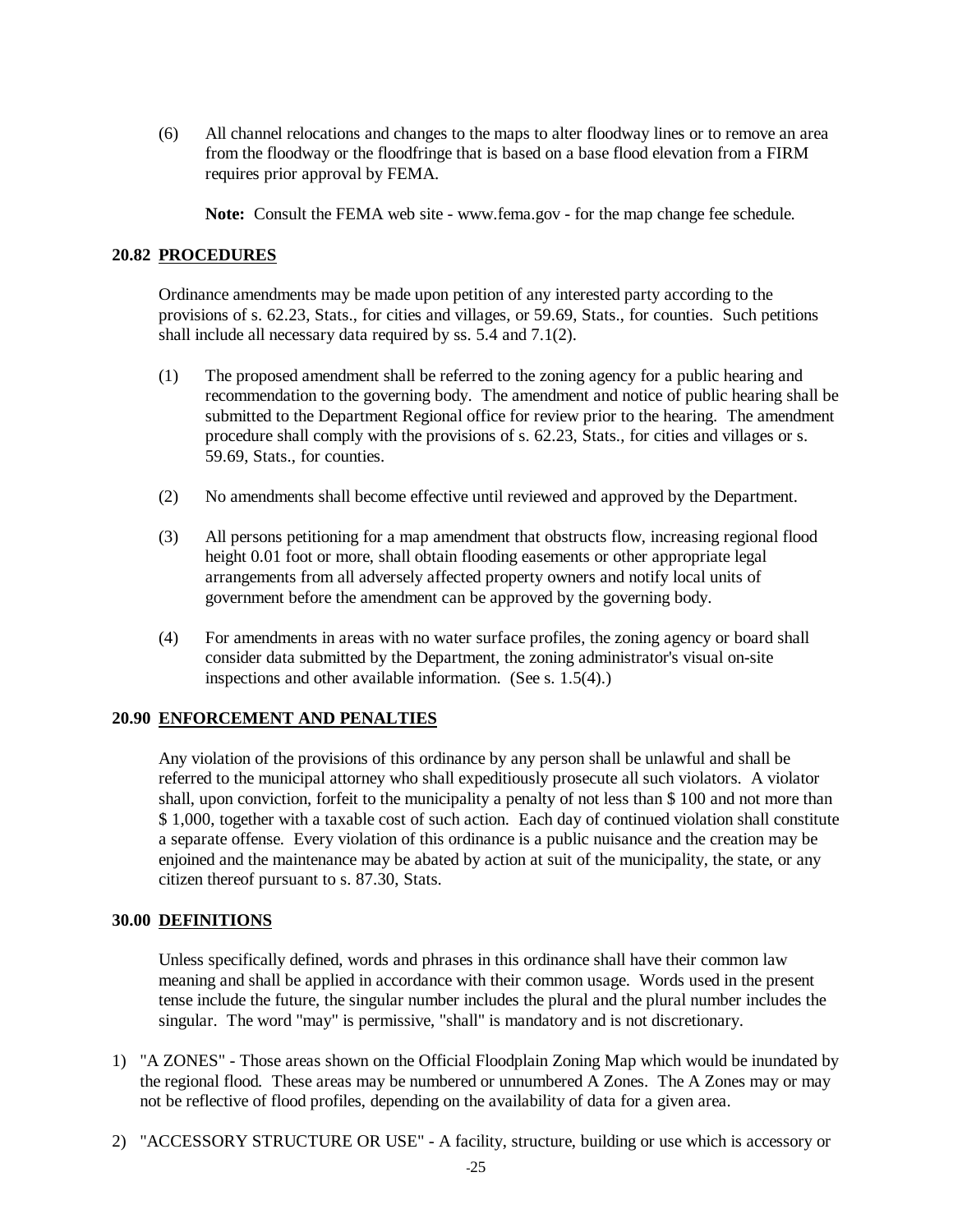<span id="page-28-0"></span>(6) All channel relocations and changes to the maps to alter floodway lines or to remove an area from the floodway or the floodfringe that is based on a base flood elevation from a FIRM requires prior approval by FEMA.

**Note:** Consult the FEMA web site - [www.fema.gov -](http://www.fema.gov/) for the map change fee schedule.

#### **20.82 PROCEDURES**

 Ordinance amendments may be made upon petition of any interested party according to the provisions of s. 62.23, Stats., for cities and villages, or 59.69, Stats., for counties. Such petitions shall include all necessary data required by ss. 5.4 and 7.1(2).

- (1) The proposed amendment shall be referred to the zoning agency for a public hearing and recommendation to the governing body. The amendment and notice of public hearing shall be submitted to the Department Regional office for review prior to the hearing. The amendment procedure shall comply with the provisions of s. 62.23, Stats., for cities and villages or s. 59.69, Stats., for counties.
- (2) No amendments shall become effective until reviewed and approved by the Department.
- (3) All persons petitioning for a map amendment that obstructs flow, increasing regional flood height 0.01 foot or more, shall obtain flooding easements or other appropriate legal arrangements from all adversely affected property owners and notify local units of government before the amendment can be approved by the governing body.
- (4) For amendments in areas with no water surface profiles, the zoning agency or board shall consider data submitted by the Department, the zoning administrator's visual on-site inspections and other available information. (See s. 1.5(4).)

## **20.90 ENFORCEMENT AND PENALTIES**

 Any violation of the provisions of this ordinance by any person shall be unlawful and shall be referred to the municipal attorney who shall expeditiously prosecute all such violators. A violator shall, upon conviction, forfeit to the municipality a penalty of not less than \$ 100 and not more than \$ 1,000, together with a taxable cost of such action. Each day of continued violation shall constitute a separate offense. Every violation of this ordinance is a public nuisance and the creation may be enjoined and the maintenance may be abated by action at suit of the municipality, the state, or any citizen thereof pursuant to s. 87.30, Stats.

#### **30.00 DEFINITIONS**

 Unless specifically defined, words and phrases in this ordinance shall have their common law meaning and shall be applied in accordance with their common usage. Words used in the present tense include the future, the singular number includes the plural and the plural number includes the singular. The word "may" is permissive, "shall" is mandatory and is not discretionary.

- 1) "A ZONES" Those areas shown on the Official Floodplain Zoning Map which would be inundated by the regional flood*.* These areas may be numbered or unnumbered A Zones. The A Zones may or may not be reflective of flood profiles, depending on the availability of data for a given area.
- 2) "ACCESSORY STRUCTURE OR USE" A facility, structure, building or use which is accessory or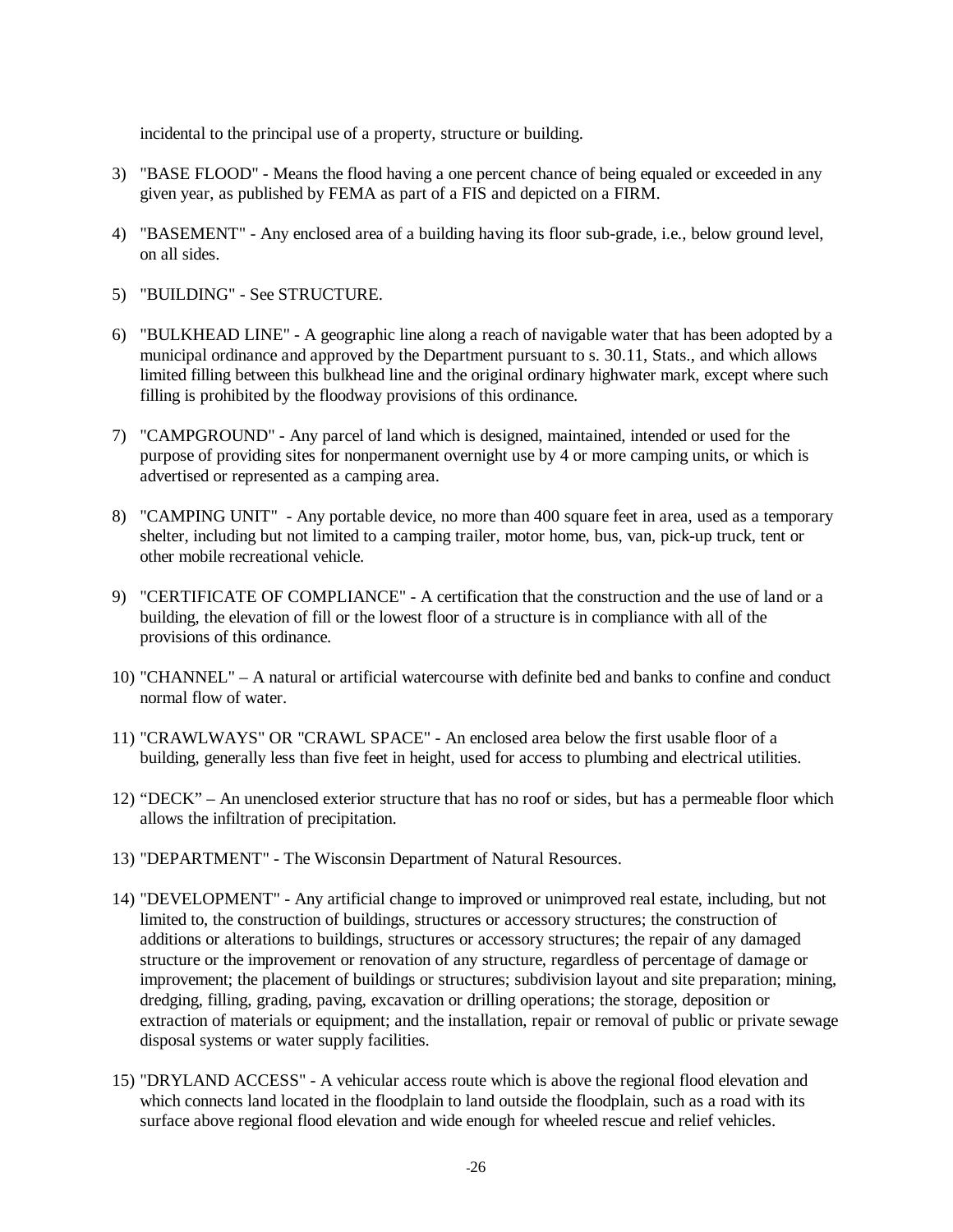incidental to the principal use of a property, structure or building.

- 3) "BASE FLOOD" Means the flood having a one percent chance of being equaled or exceeded in any given year, as published by FEMA as part of a FIS and depicted on a FIRM.
- 4) "BASEMENT" Any enclosed area of a building having its floor sub-grade, i.e., below ground level, on all sides.
- 5) "BUILDING" See STRUCTURE.
- 6) "BULKHEAD LINE" A geographic line along a reach of navigable water that has been adopted by a municipal ordinance and approved by the Department pursuant to s. 30.11, Stats., and which allows limited filling between this bulkhead line and the original ordinary highwater mark, except where such filling is prohibited by the floodway provisions of this ordinance.
- 7) "CAMPGROUND" Any parcel of land which is designed, maintained, intended or used for the purpose of providing sites for nonpermanent overnight use by 4 or more camping units, or which is advertised or represented as a camping area.
- 8) "CAMPING UNIT" Any portable device, no more than 400 square feet in area, used as a temporary shelter, including but not limited to a camping trailer, motor home, bus, van, pick-up truck, tent or other mobile recreational vehicle.
- 9) "CERTIFICATE OF COMPLIANCE" A certification that the construction and the use of land or a building, the elevation of fill or the lowest floor of a structure is in compliance with all of the provisions of this ordinance.
- 10) "CHANNEL" A natural or artificial watercourse with definite bed and banks to confine and conduct normal flow of water.
- 11) "CRAWLWAYS" OR "CRAWL SPACE" An enclosed area below the first usable floor of a building, generally less than five feet in height, used for access to plumbing and electrical utilities.
- 12) "DECK" An unenclosed exterior structure that has no roof or sides, but has a permeable floor which allows the infiltration of precipitation.
- 13) "DEPARTMENT" The Wisconsin Department of Natural Resources.
- 14) "DEVELOPMENT" Any artificial change to improved or unimproved real estate, including, but not limited to, the construction of buildings, structures or accessory structures; the construction of additions or alterations to buildings, structures or accessory structures; the repair of any damaged structure or the improvement or renovation of any structure, regardless of percentage of damage or improvement; the placement of buildings or structures; subdivision layout and site preparation; mining, dredging, filling, grading, paving, excavation or drilling operations; the storage, deposition or extraction of materials or equipment; and the installation, repair or removal of public or private sewage disposal systems or water supply facilities.
- 15) "DRYLAND ACCESS" A vehicular access route which is above the regional flood elevation and which connects land located in the floodplain to land outside the floodplain, such as a road with its surface above regional flood elevation and wide enough for wheeled rescue and relief vehicles.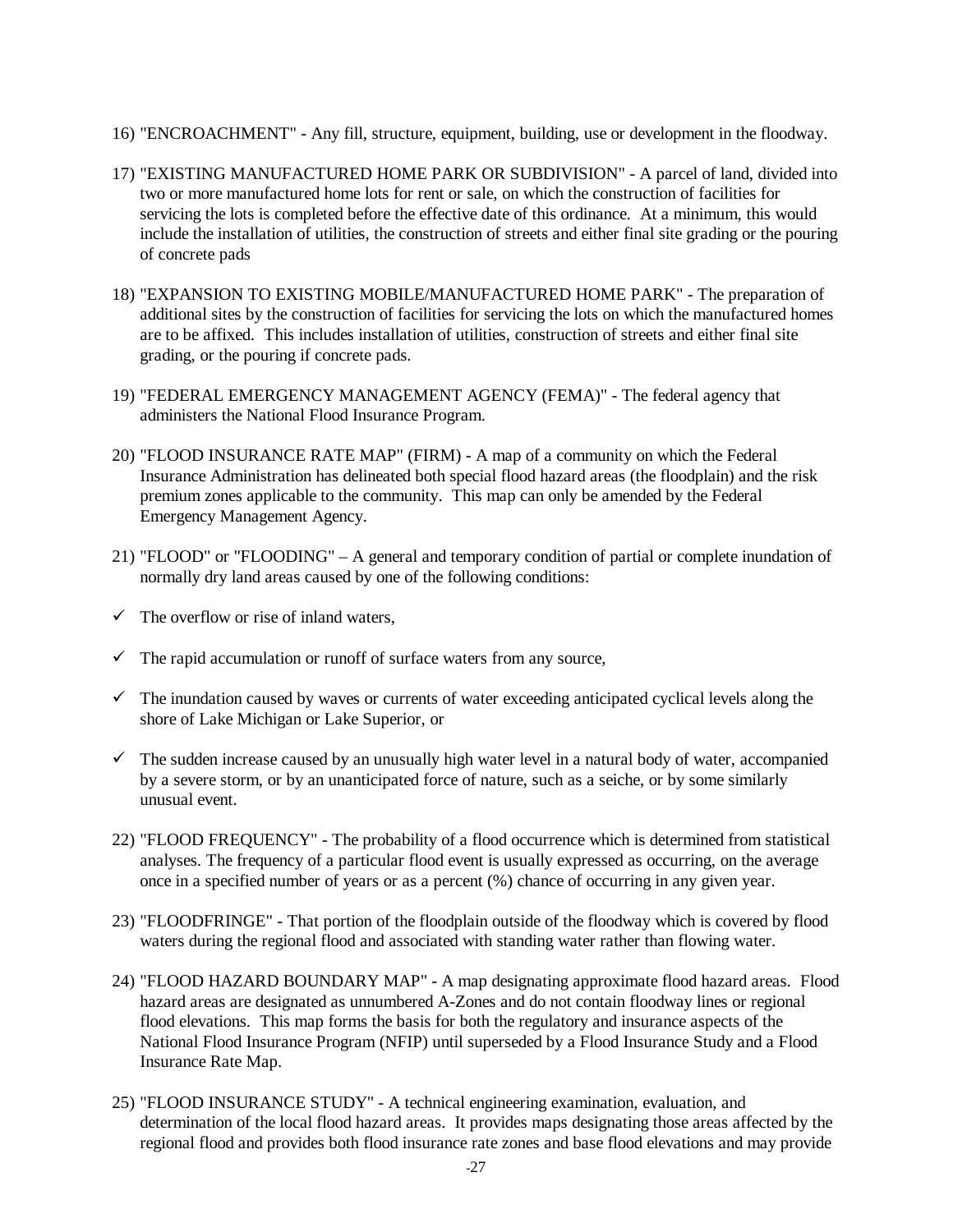- 16) "ENCROACHMENT" Any fill, structure, equipment, building, use or development in the floodway.
- 17) "EXISTING MANUFACTURED HOME PARK OR SUBDIVISION" A parcel of land, divided into two or more manufactured home lots for rent or sale, on which the construction of facilities for servicing the lots is completed before the effective date of this ordinance. At a minimum, this would include the installation of utilities, the construction of streets and either final site grading or the pouring of concrete pads
- 18) "EXPANSION TO EXISTING MOBILE/MANUFACTURED HOME PARK" The preparation of additional sites by the construction of facilities for servicing the lots on which the manufactured homes are to be affixed. This includes installation of utilities, construction of streets and either final site grading, or the pouring if concrete pads.
- 19) "FEDERAL EMERGENCY MANAGEMENT AGENCY (FEMA)" The federal agency that administers the National Flood Insurance Program.
- 20) "FLOOD INSURANCE RATE MAP" (FIRM) A map of a community on which the Federal Insurance Administration has delineated both special flood hazard areas (the floodplain) and the risk premium zones applicable to the community. This map can only be amended by the Federal Emergency Management Agency.
- 21) "FLOOD" or "FLOODING" A general and temporary condition of partial or complete inundation of normally dry land areas caused by one of the following conditions:
- $\checkmark$  The overflow or rise of inland waters,
- $\checkmark$  The rapid accumulation or runoff of surface waters from any source,
- $\checkmark$  The inundation caused by waves or currents of water exceeding anticipated cyclical levels along the shore of Lake Michigan or Lake Superior, or
- $\checkmark$  The sudden increase caused by an unusually high water level in a natural body of water, accompanied by a severe storm, or by an unanticipated force of nature, such as a seiche, or by some similarly unusual event.
- 22) "FLOOD FREQUENCY" The probability of a flood occurrence which is determined from statistical analyses. The frequency of a particular flood event is usually expressed as occurring, on the average once in a specified number of years or as a percent (%) chance of occurring in any given year.
- 23) "FLOODFRINGE" That portion of the floodplain outside of the floodway which is covered by flood waters during the regional flood and associated with standing water rather than flowing water.
- 24) "FLOOD HAZARD BOUNDARY MAP" A map designating approximate flood hazard areas. Flood hazard areas are designated as unnumbered A-Zones and do not contain floodway lines or regional flood elevations. This map forms the basis for both the regulatory and insurance aspects of the National Flood Insurance Program (NFIP) until superseded by a Flood Insurance Study and a Flood Insurance Rate Map.
- 25) "FLOOD INSURANCE STUDY" A technical engineering examination, evaluation, and determination of the local flood hazard areas. It provides maps designating those areas affected by the regional flood and provides both flood insurance rate zones and base flood elevations and may provide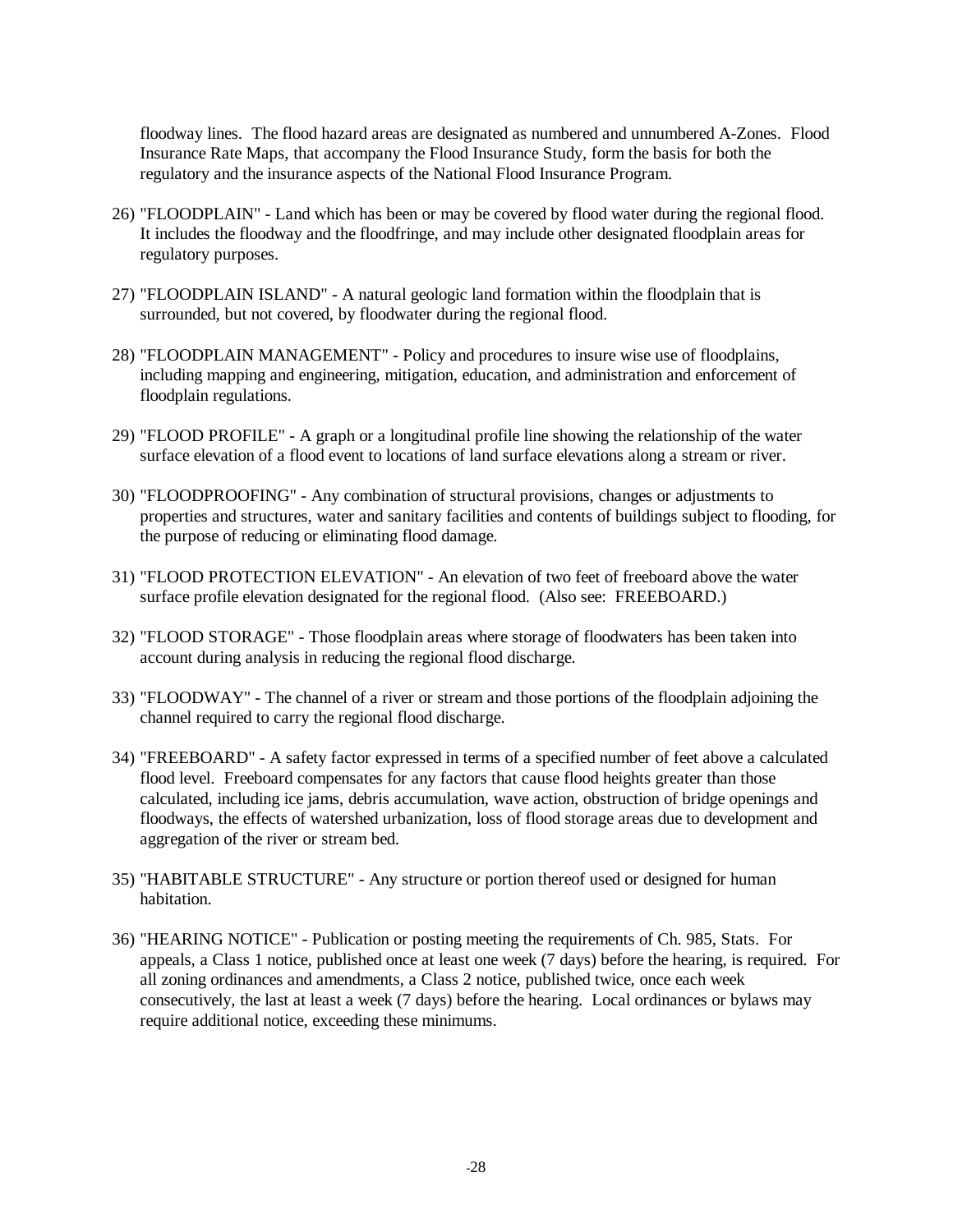floodway lines. The flood hazard areas are designated as numbered and unnumbered A-Zones. Flood Insurance Rate Maps, that accompany the Flood Insurance Study, form the basis for both the regulatory and the insurance aspects of the National Flood Insurance Program.

- 26) "FLOODPLAIN" Land which has been or may be covered by flood water during the regional flood. It includes the floodway and the floodfringe, and may include other designated floodplain areas for regulatory purposes.
- 27) "FLOODPLAIN ISLAND" A natural geologic land formation within the floodplain that is surrounded, but not covered, by floodwater during the regional flood.
- 28) "FLOODPLAIN MANAGEMENT" Policy and procedures to insure wise use of floodplains, including mapping and engineering, mitigation, education, and administration and enforcement of floodplain regulations.
- 29) "FLOOD PROFILE" A graph or a longitudinal profile line showing the relationship of the water surface elevation of a flood event to locations of land surface elevations along a stream or river.
- 30) "FLOODPROOFING" Any combination of structural provisions, changes or adjustments to properties and structures, water and sanitary facilities and contents of buildings subject to flooding, for the purpose of reducing or eliminating flood damage.
- 31) "FLOOD PROTECTION ELEVATION" An elevation of two feet of freeboard above the water surface profile elevation designated for the regional flood. (Also see: FREEBOARD.)
- 32) "FLOOD STORAGE" Those floodplain areas where storage of floodwaters has been taken into account during analysis in reducing the regional flood discharge.
- 33) "FLOODWAY" The channel of a river or stream and those portions of the floodplain adjoining the channel required to carry the regional flood discharge.
- 34) "FREEBOARD" A safety factor expressed in terms of a specified number of feet above a calculated flood level. Freeboard compensates for any factors that cause flood heights greater than those calculated, including ice jams, debris accumulation, wave action, obstruction of bridge openings and floodways, the effects of watershed urbanization, loss of flood storage areas due to development and aggregation of the river or stream bed.
- 35) "HABITABLE STRUCTURE" Any structure or portion thereof used or designed for human habitation.
- 36) "HEARING NOTICE" Publication or posting meeting the requirements of Ch. 985, Stats. For appeals, a Class 1 notice, published once at least one week (7 days) before the hearing, is required. For all zoning ordinances and amendments, a Class 2 notice, published twice, once each week consecutively, the last at least a week (7 days) before the hearing. Local ordinances or bylaws may require additional notice, exceeding these minimums.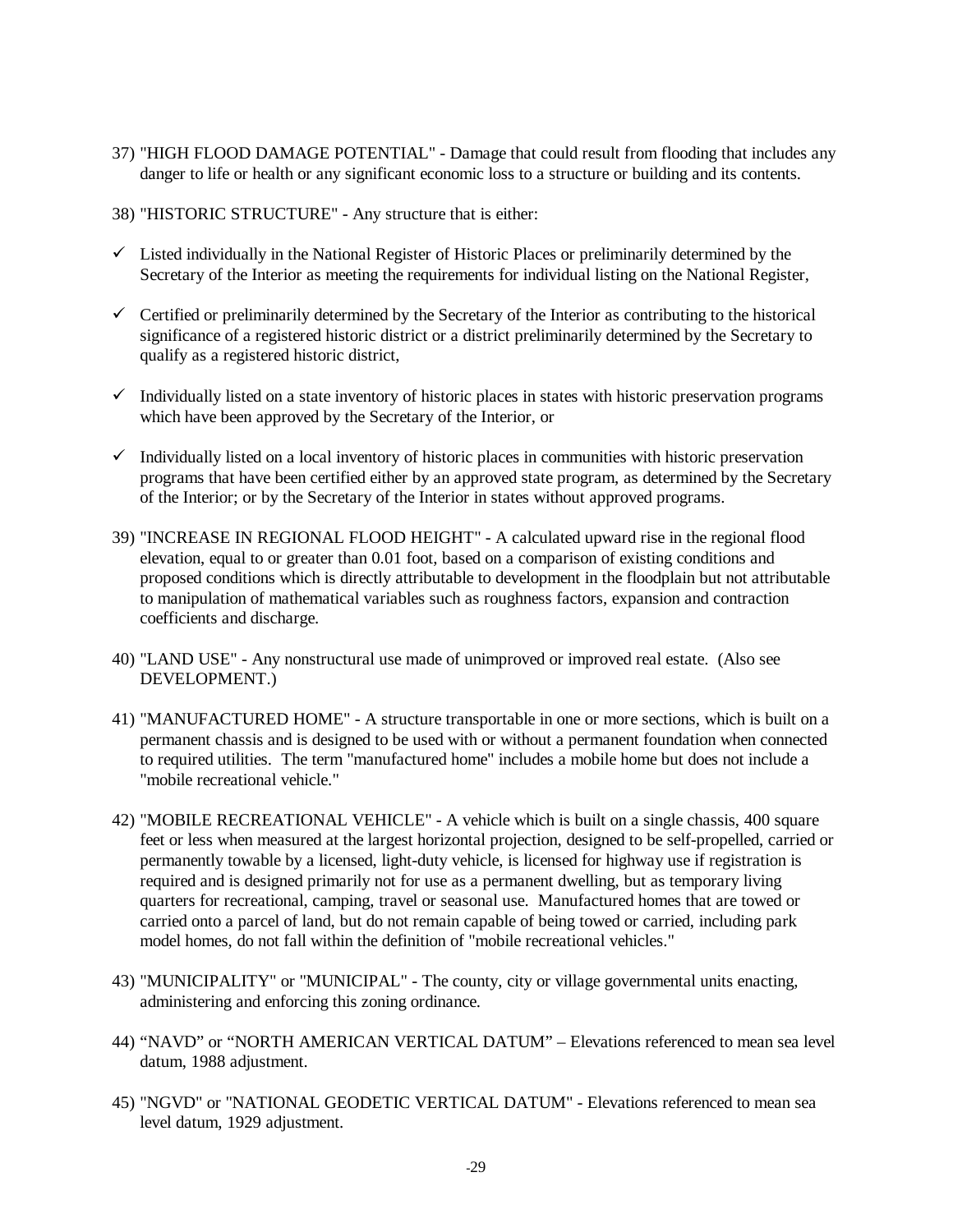- 37) "HIGH FLOOD DAMAGE POTENTIAL" Damage that could result from flooding that includes any danger to life or health or any significant economic loss to a structure or building and its contents.
- 38) "HISTORIC STRUCTURE" Any structure that is either:
- $\checkmark$  Listed individually in the National Register of Historic Places or preliminarily determined by the Secretary of the Interior as meeting the requirements for individual listing on the National Register,
- $\checkmark$  Certified or preliminarily determined by the Secretary of the Interior as contributing to the historical significance of a registered historic district or a district preliminarily determined by the Secretary to qualify as a registered historic district,
- $\checkmark$  Individually listed on a state inventory of historic places in states with historic preservation programs which have been approved by the Secretary of the Interior, or
- $\checkmark$  Individually listed on a local inventory of historic places in communities with historic preservation programs that have been certified either by an approved state program, as determined by the Secretary of the Interior; or by the Secretary of the Interior in states without approved programs.
- 39) "INCREASE IN REGIONAL FLOOD HEIGHT" A calculated upward rise in the regional flood elevation, equal to or greater than 0.01 foot, based on a comparison of existing conditions and proposed conditions which is directly attributable to development in the floodplain but not attributable to manipulation of mathematical variables such as roughness factors, expansion and contraction coefficients and discharge.
- 40) "LAND USE" Any nonstructural use made of unimproved or improved real estate. (Also see DEVELOPMENT.)
- 41) "MANUFACTURED HOME" A structure transportable in one or more sections, which is built on a permanent chassis and is designed to be used with or without a permanent foundation when connected to required utilities. The term "manufactured home" includes a mobile home but does not include a "mobile recreational vehicle."
- 42) "MOBILE RECREATIONAL VEHICLE" A vehicle which is built on a single chassis, 400 square feet or less when measured at the largest horizontal projection, designed to be self-propelled, carried or permanently towable by a licensed, light-duty vehicle, is licensed for highway use if registration is required and is designed primarily not for use as a permanent dwelling, but as temporary living quarters for recreational, camping, travel or seasonal use. Manufactured homes that are towed or carried onto a parcel of land, but do not remain capable of being towed or carried, including park model homes, do not fall within the definition of "mobile recreational vehicles."
- 43) "MUNICIPALITY" or "MUNICIPAL" The county, city or village governmental units enacting, administering and enforcing this zoning ordinance.
- 44) "NAVD" or "NORTH AMERICAN VERTICAL DATUM" Elevations referenced to mean sea level datum, 1988 adjustment.
- 45) "NGVD" or "NATIONAL GEODETIC VERTICAL DATUM" Elevations referenced to mean sea level datum, 1929 adjustment.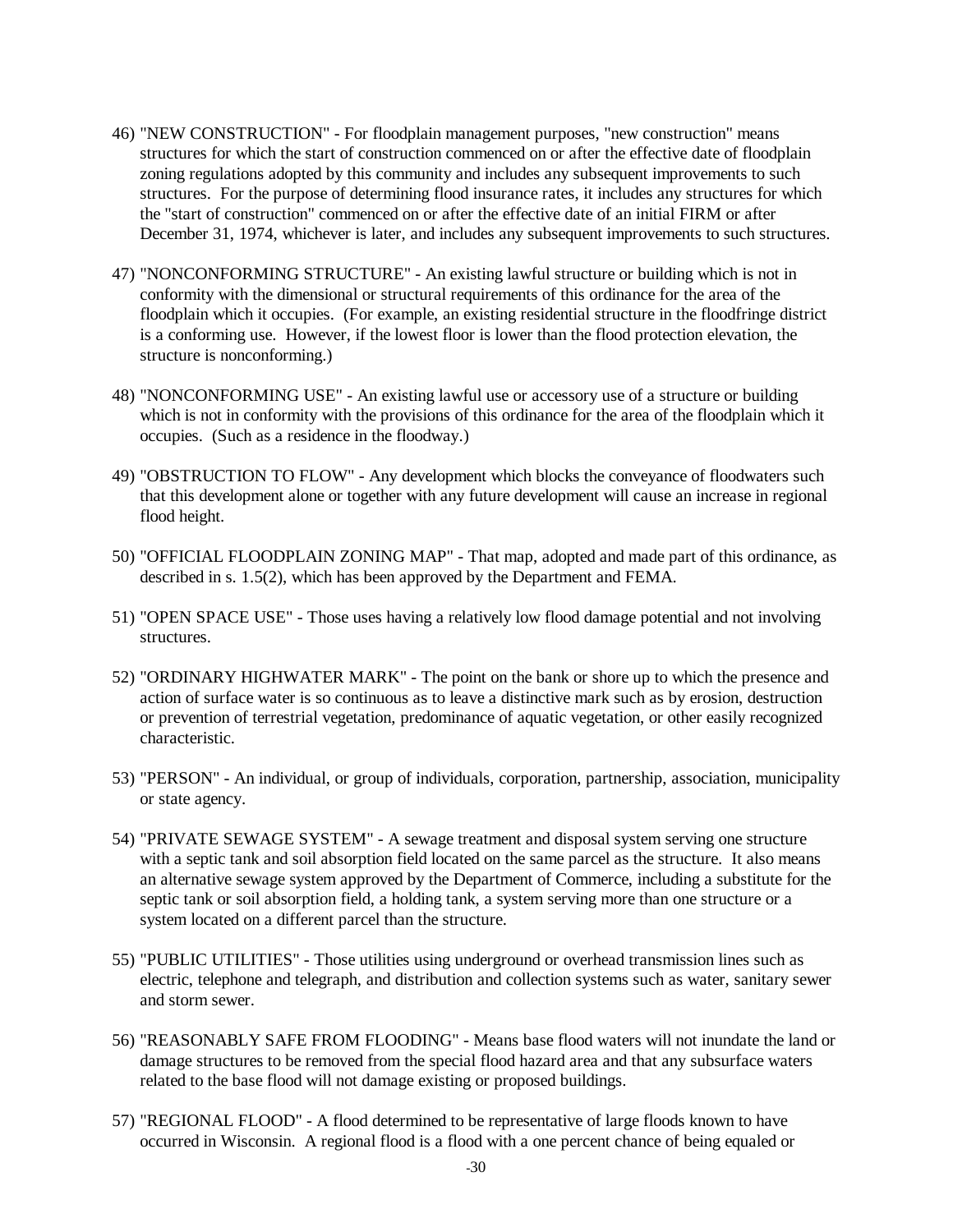- 46) "NEW CONSTRUCTION" For floodplain management purposes, "new construction" means structures for which the start of construction commenced on or after the effective date of floodplain zoning regulations adopted by this community and includes any subsequent improvements to such structures. For the purpose of determining flood insurance rates, it includes any structures for which the "start of construction" commenced on or after the effective date of an initial FIRM or after December 31, 1974, whichever is later, and includes any subsequent improvements to such structures.
- 47) "NONCONFORMING STRUCTURE" An existing lawful structure or building which is not in conformity with the dimensional or structural requirements of this ordinance for the area of the floodplain which it occupies. (For example, an existing residential structure in the floodfringe district is a conforming use. However, if the lowest floor is lower than the flood protection elevation, the structure is nonconforming.)
- 48) "NONCONFORMING USE" An existing lawful use or accessory use of a structure or building which is not in conformity with the provisions of this ordinance for the area of the floodplain which it occupies. (Such as a residence in the floodway.)
- 49) "OBSTRUCTION TO FLOW" Any development which blocks the conveyance of floodwaters such that this development alone or together with any future development will cause an increase in regional flood height.
- 50) "OFFICIAL FLOODPLAIN ZONING MAP" That map, adopted and made part of this ordinance, as described in s. 1.5(2), which has been approved by the Department and FEMA.
- 51) "OPEN SPACE USE" Those uses having a relatively low flood damage potential and not involving structures.
- 52) "ORDINARY HIGHWATER MARK" The point on the bank or shore up to which the presence and action of surface water is so continuous as to leave a distinctive mark such as by erosion, destruction or prevention of terrestrial vegetation, predominance of aquatic vegetation, or other easily recognized characteristic.
- 53) "PERSON" An individual, or group of individuals, corporation, partnership, association, municipality or state agency.
- 54) "PRIVATE SEWAGE SYSTEM" A sewage treatment and disposal system serving one structure with a septic tank and soil absorption field located on the same parcel as the structure. It also means an alternative sewage system approved by the Department of Commerce, including a substitute for the septic tank or soil absorption field, a holding tank, a system serving more than one structure or a system located on a different parcel than the structure.
- 55) "PUBLIC UTILITIES" Those utilities using underground or overhead transmission lines such as electric, telephone and telegraph, and distribution and collection systems such as water, sanitary sewer and storm sewer.
- 56) "REASONABLY SAFE FROM FLOODING" Means base flood waters will not inundate the land or damage structures to be removed from the special flood hazard area and that any subsurface waters related to the base flood will not damage existing or proposed buildings.
- 57) "REGIONAL FLOOD" A flood determined to be representative of large floods known to have occurred in Wisconsin. A regional flood is a flood with a one percent chance of being equaled or